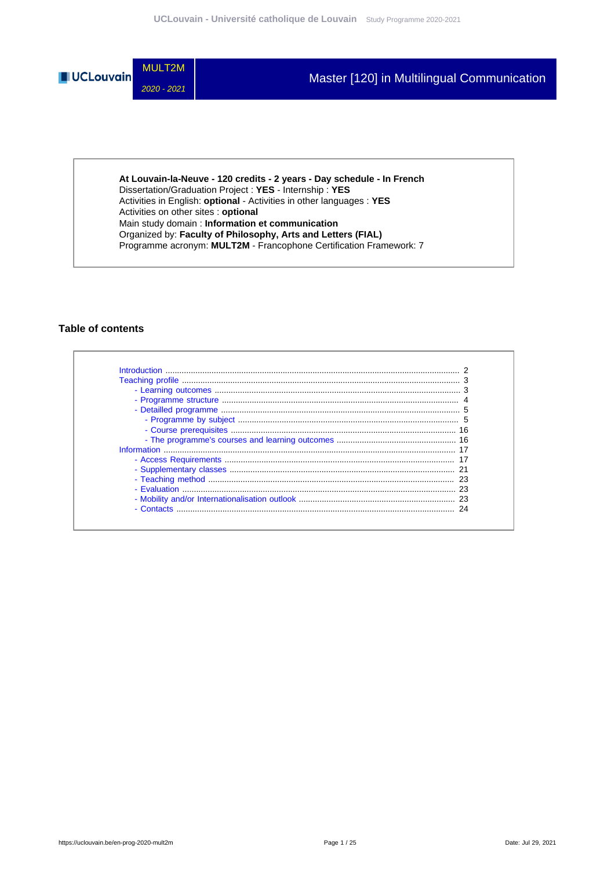

**At Louvain-la-Neuve - 120 credits - 2 years - Day schedule - In French** Dissertation/Graduation Project : **YES** - Internship : **YES** Activities in English: **optional** - Activities in other languages : **YES** Activities on other sites : **optional** Main study domain : **Information et communication** Organized by: **Faculty of Philosophy, Arts and Letters (FIAL)** Programme acronym: **MULT2M** - Francophone Certification Framework: 7

### **Table of contents**

| - Contacts |  |
|------------|--|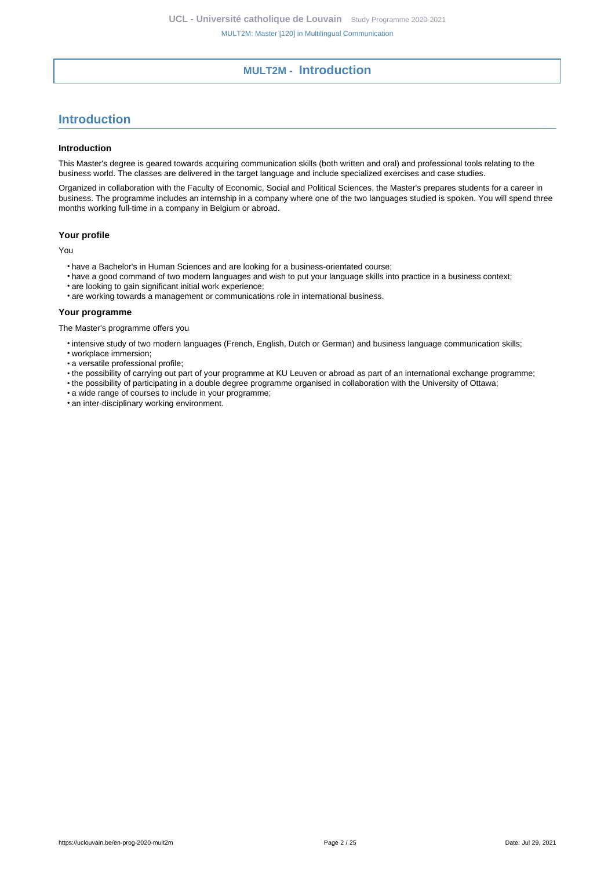# **MULT2M - Introduction**

# <span id="page-1-0"></span>**Introduction**

#### **Introduction**

This Master's degree is geared towards acquiring communication skills (both written and oral) and professional tools relating to the business world. The classes are delivered in the target language and include specialized exercises and case studies.

Organized in collaboration with the Faculty of Economic, Social and Political Sciences, the Master's prepares students for a career in business. The programme includes an internship in a company where one of the two languages studied is spoken. You will spend three months working full-time in a company in Belgium or abroad.

### **Your profile**

You

- have a Bachelor's in Human Sciences and are looking for a business-orientated course;
- have a good command of two modern languages and wish to put your language skills into practice in a business context;
- are looking to gain significant initial work experience;
- are working towards a management or communications role in international business.

#### **Your programme**

The Master's programme offers you

- intensive study of two modern languages (French, English, Dutch or German) and business language communication skills;
- workplace immersion;
- a versatile professional profile;
- the possibility of carrying out part of your programme at KU Leuven or abroad as part of an international exchange programme;
- the possibility of participating in a double degree programme organised in collaboration with the University of Ottawa;
- a wide range of courses to include in your programme;
- an inter-disciplinary working environment.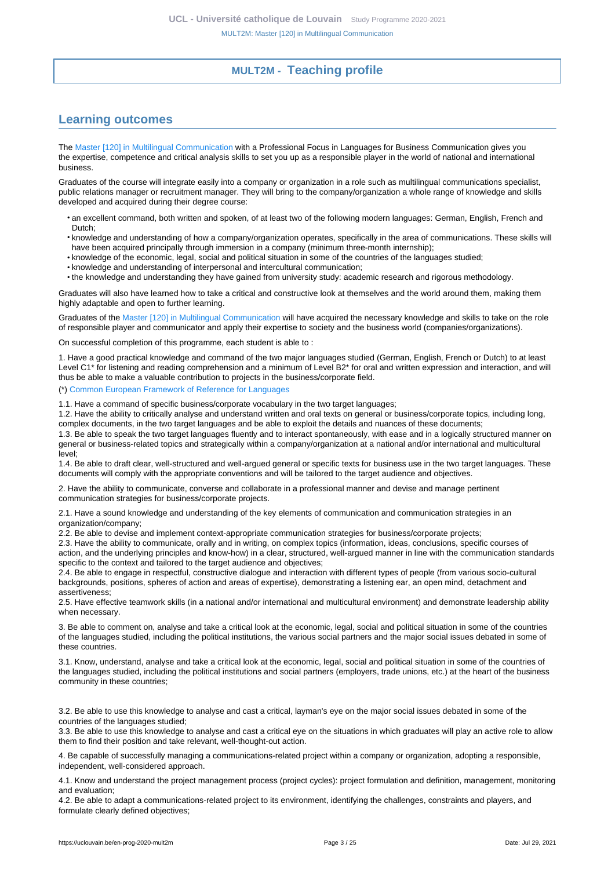# **MULT2M - Teaching profile**

# <span id="page-2-1"></span><span id="page-2-0"></span>**Learning outcomes**

The [Master \[120\] in Multilingual Communication](https://uclouvain.be/en-prog-2020-mult2m) with a Professional Focus in Languages for Business Communication gives you the expertise, competence and critical analysis skills to set you up as a responsible player in the world of national and international business.

Graduates of the course will integrate easily into a company or organization in a role such as multilingual communications specialist, public relations manager or recruitment manager. They will bring to the company/organization a whole range of knowledge and skills developed and acquired during their degree course:

- an excellent command, both written and spoken, of at least two of the following modern languages: German, English, French and Dutch;
- knowledge and understanding of how a company/organization operates, specifically in the area of communications. These skills will have been acquired principally through immersion in a company (minimum three-month internship);
- knowledge of the economic, legal, social and political situation in some of the countries of the languages studied;
- knowledge and understanding of interpersonal and intercultural communication;
- the knowledge and understanding they have gained from university study: academic research and rigorous methodology.

Graduates will also have learned how to take a critical and constructive look at themselves and the world around them, making them highly adaptable and open to further learning.

Graduates of the [Master \[120\] in Multilingual Communication](https://uclouvain.be/en-prog-2020-mult2m) will have acquired the necessary knowledge and skills to take on the role of responsible player and communicator and apply their expertise to society and the business world (companies/organizations).

On successful completion of this programme, each student is able to :

1. Have a good practical knowledge and command of the two major languages studied (German, English, French or Dutch) to at least Level C1<sup>\*</sup> for listening and reading comprehension and a minimum of Level B2<sup>\*</sup> for oral and written expression and interaction, and will thus be able to make a valuable contribution to projects in the business/corporate field.

(\*) [Common European Framework of Reference for Languages](https://www.coe.int/en/web/common-european-framework-reference-languages/level-descriptions)

1.1. Have a command of specific business/corporate vocabulary in the two target languages;

1.2. Have the ability to critically analyse and understand written and oral texts on general or business/corporate topics, including long, complex documents, in the two target languages and be able to exploit the details and nuances of these documents;

1.3. Be able to speak the two target languages fluently and to interact spontaneously, with ease and in a logically structured manner on general or business-related topics and strategically within a company/organization at a national and/or international and multicultural level;

1.4. Be able to draft clear, well-structured and well-argued general or specific texts for business use in the two target languages. These documents will comply with the appropriate conventions and will be tailored to the target audience and objectives.

2. Have the ability to communicate, converse and collaborate in a professional manner and devise and manage pertinent communication strategies for business/corporate projects.

2.1. Have a sound knowledge and understanding of the key elements of communication and communication strategies in an organization/company;

2.2. Be able to devise and implement context-appropriate communication strategies for business/corporate projects;

2.3. Have the ability to communicate, orally and in writing, on complex topics (information, ideas, conclusions, specific courses of action, and the underlying principles and know-how) in a clear, structured, well-argued manner in line with the communication standards specific to the context and tailored to the target audience and objectives;

2.4. Be able to engage in respectful, constructive dialogue and interaction with different types of people (from various socio-cultural backgrounds, positions, spheres of action and areas of expertise), demonstrating a listening ear, an open mind, detachment and assertiveness;

2.5. Have effective teamwork skills (in a national and/or international and multicultural environment) and demonstrate leadership ability when necessary.

3. Be able to comment on, analyse and take a critical look at the economic, legal, social and political situation in some of the countries of the languages studied, including the political institutions, the various social partners and the major social issues debated in some of these countries.

3.1. Know, understand, analyse and take a critical look at the economic, legal, social and political situation in some of the countries of the languages studied, including the political institutions and social partners (employers, trade unions, etc.) at the heart of the business community in these countries;

3.2. Be able to use this knowledge to analyse and cast a critical, layman's eye on the major social issues debated in some of the countries of the languages studied;

3.3. Be able to use this knowledge to analyse and cast a critical eye on the situations in which graduates will play an active role to allow them to find their position and take relevant, well-thought-out action.

4. Be capable of successfully managing a communications-related project within a company or organization, adopting a responsible, independent, well-considered approach.

4.1. Know and understand the project management process (project cycles): project formulation and definition, management, monitoring and evaluation;

4.2. Be able to adapt a communications-related project to its environment, identifying the challenges, constraints and players, and formulate clearly defined objectives;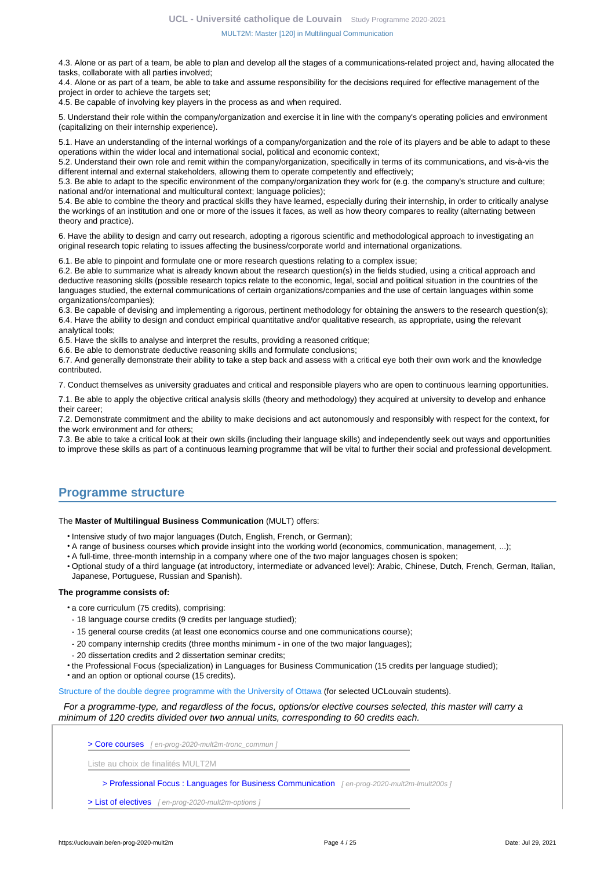4.3. Alone or as part of a team, be able to plan and develop all the stages of a communications-related project and, having allocated the tasks, collaborate with all parties involved;

4.4. Alone or as part of a team, be able to take and assume responsibility for the decisions required for effective management of the project in order to achieve the targets set;

4.5. Be capable of involving key players in the process as and when required.

5. Understand their role within the company/organization and exercise it in line with the company's operating policies and environment (capitalizing on their internship experience).

5.1. Have an understanding of the internal workings of a company/organization and the role of its players and be able to adapt to these operations within the wider local and international social, political and economic context;

5.2. Understand their own role and remit within the company/organization, specifically in terms of its communications, and vis-à-vis the different internal and external stakeholders, allowing them to operate competently and effectively;

5.3. Be able to adapt to the specific environment of the company/organization they work for (e.g. the company's structure and culture; national and/or international and multicultural context; language policies);

5.4. Be able to combine the theory and practical skills they have learned, especially during their internship, in order to critically analyse the workings of an institution and one or more of the issues it faces, as well as how theory compares to reality (alternating between theory and practice).

6. Have the ability to design and carry out research, adopting a rigorous scientific and methodological approach to investigating an original research topic relating to issues affecting the business/corporate world and international organizations.

6.1. Be able to pinpoint and formulate one or more research questions relating to a complex issue;

6.2. Be able to summarize what is already known about the research question(s) in the fields studied, using a critical approach and deductive reasoning skills (possible research topics relate to the economic, legal, social and political situation in the countries of the languages studied, the external communications of certain organizations/companies and the use of certain languages within some organizations/companies);

6.3. Be capable of devising and implementing a rigorous, pertinent methodology for obtaining the answers to the research question(s); 6.4. Have the ability to design and conduct empirical quantitative and/or qualitative research, as appropriate, using the relevant analytical tools;

6.5. Have the skills to analyse and interpret the results, providing a reasoned critique;

6.6. Be able to demonstrate deductive reasoning skills and formulate conclusions;

6.7. And generally demonstrate their ability to take a step back and assess with a critical eye both their own work and the knowledge contributed.

7. Conduct themselves as university graduates and critical and responsible players who are open to continuous learning opportunities.

7.1. Be able to apply the objective critical analysis skills (theory and methodology) they acquired at university to develop and enhance their career;

7.2. Demonstrate commitment and the ability to make decisions and act autonomously and responsibly with respect for the context, for the work environment and for others;

7.3. Be able to take a critical look at their own skills (including their language skills) and independently seek out ways and opportunities to improve these skills as part of a continuous learning programme that will be vital to further their social and professional development.

# <span id="page-3-0"></span>**Programme structure**

#### The **Master of Multilingual Business Communication** (MULT) offers:

- Intensive study of two major languages (Dutch, English, French, or German);
- A range of business courses which provide insight into the working world (economics, communication, management, ...);
- A full-time, three-month internship in a company where one of the two major languages chosen is spoken;
- Optional study of a third language (at introductory, intermediate or advanced level): Arabic, Chinese, Dutch, French, German, Italian, Japanese, Portuguese, Russian and Spanish).

#### **The programme consists of:**

- a core curriculum (75 credits), comprising:
- 18 language course credits (9 credits per language studied);
- 15 general course credits (at least one economics course and one communications course);
- 20 company internship credits (three months minimum in one of the two major languages);
- 20 dissertation credits and 2 dissertation seminar credits;
- the Professional Focus (specialization) in Languages for Business Communication (15 credits per language studied);
- and an option or optional course (15 credits).

[Structure of the double degree programme with the University of Ottawa](http://uclouvain.be/fr/facultes/fial/double-diplome-en-communication-multilingue-uottawa-ucl.html) (for selected UCLouvain students).

#### For a programme-type, and regardless of the focus, options/or elective courses selected, this master will carry a minimum of 120 credits divided over two annual units, corresponding to 60 credits each.

[> Core courses](en-prog-2020-mult2m-tronc_commun) [ en-prog-2020-mult2m-tronc\_commun ]

Liste au choix de finalités MULT2M

[> Professional Focus : Languages for Business Communication](en-prog-2020-mult2m-lmult200s) [en-prog-2020-mult2m-lmult200s]

[> List of electives](en-prog-2020-mult2m-options) [ en-prog-2020-mult2m-options ]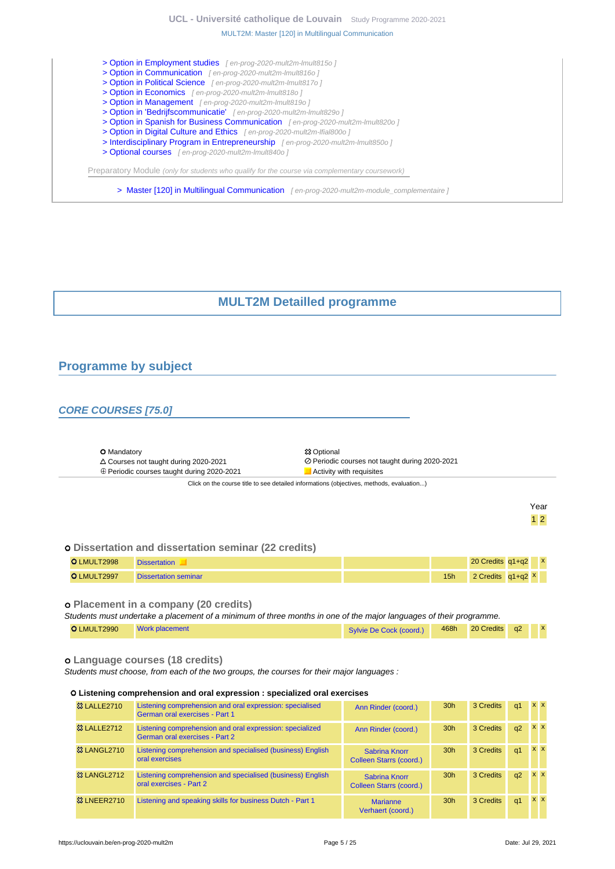# **UCL - Université catholique de Louvain** [Study Programme 2020-2021](https://uclouvain.be/en/study-programme)

#### [MULT2M: Master \[120\] in Multilingual Communication](https://uclouvain.be/en-prog-2020-mult2m.html)

- [> Option in Employment studies](en-prog-2020-mult2m-lmult815o) [en-prog-2020-mult2m-lmult815o] [> Option in Communication](en-prog-2020-mult2m-lmult816o) [en-prog-2020-mult2m-lmult816o]
- [> Option in Political Science](en-prog-2020-mult2m-lmult817o) [ en-prog-2020-mult2m-lmult817o ]
- [> Option in Economics](en-prog-2020-mult2m-lmult818o) [ en-prog-2020-mult2m-lmult818o ]
- [> Option in Management](en-prog-2020-mult2m-lmult819o) [ en-prog-2020-mult2m-lmult819o ]
- [> Option in 'Bedrijfscommunicatie'](en-prog-2020-mult2m-lmult829o) [ en-prog-2020-mult2m-lmult829o ]
- [> Option in Spanish for Business Communication](en-prog-2020-mult2m-lmult820o) [en-prog-2020-mult2m-lmult820o]
- [> Option in Digital Culture and Ethics](en-prog-2020-mult2m-lfial800o) [en-prog-2020-mult2m-Ifial800o]
- [> Interdisciplinary Program in Entrepreneurship](en-prog-2020-mult2m-lmult850o) [en-prog-2020-mult2m-lmult850o]
- [> Optional courses](en-prog-2020-mult2m-lmult840o) [ en-prog-2020-mult2m-lmult840o ]

Preparatory Module (only for students who qualify for the course via complementary coursework)

[> Master \[120\] in Multilingual Communication](en-prog-2020-mult2m-module_complementaire) [en-prog-2020-mult2m-module\_complementaire]

# **MULT2M Detailled programme**

# <span id="page-4-1"></span><span id="page-4-0"></span>**Programme by subject**

# **CORE COURSES [75.0]**

 $\epsilon$ 

| Altalysia alan sayyaan dalaman ahan dagatka ditagaman adaman falataradiyyan manalanadan siya kwadramin |                                                |  |  |  |
|--------------------------------------------------------------------------------------------------------|------------------------------------------------|--|--|--|
| ⊕ Periodic courses taught during 2020-2021                                                             | <b>Activity with requisites</b>                |  |  |  |
| $\Delta$ Courses not taught during 2020-2021                                                           | ⊘ Periodic courses not taught during 2020-2021 |  |  |  |
| <b>O</b> Mandatory                                                                                     | <b>83 Optional</b>                             |  |  |  |

ck on the course title to see detailed informations (objectives, methods, evaluation...)

 $\mathbb{R}^2$ 

Year 1 2

### **Dissertation and dissertation seminar (22 credits)**

| O LMULT2998 | <b>Dissertation</b>         |     | $\mathbf{x}$<br>20 Credits q1+q2 |
|-------------|-----------------------------|-----|----------------------------------|
| O LMULT2997 | <b>Dissertation seminar</b> | 15h | 2 Credits $q1+q2$ X              |

### **Placement in a company (20 credits)**

Students must undertake a placement of a minimum of three months in one of the major languages of their programme. O LMULT2990 [Work placement](https://uclouvain.be/cours-2020-LMULT2990) [Sylvie De Cock \(coord.\)](https://uclouvain.be/repertoires/sylvie.decock) 468h 20 Credits q2

#### **Language courses (18 credits)**

Students must choose, from each of the two groups, the courses for their major languages :

#### **Listening comprehension and oral expression : specialized oral exercises**

| <b>&amp;3 LALLE2710</b> | Listening comprehension and oral expression: specialised<br>German oral exercises - Part 1 | Ann Rinder (coord.)                      | 30 <sub>h</sub> | 3 Credits | q <sub>1</sub> |            | <b>XX</b>  |
|-------------------------|--------------------------------------------------------------------------------------------|------------------------------------------|-----------------|-----------|----------------|------------|------------|
| <b>&amp;3 LALLE2712</b> | Listening comprehension and oral expression: specialized<br>German oral exercises - Part 2 | Ann Rinder (coord.)                      | 30 <sub>h</sub> | 3 Credits | q2             | $x \times$ |            |
| <b>&amp; LANGL2710</b>  | Listening comprehension and specialised (business) English<br>oral exercises               | Sabrina Knorr<br>Colleen Starrs (coord.) | 30 <sub>h</sub> | 3 Credits | q <sub>1</sub> |            | $x \times$ |
| <b>&amp; LANGL2712</b>  | Listening comprehension and specialised (business) English<br>oral exercises - Part 2      | Sabrina Knorr<br>Colleen Starrs (coord.) | 30 <sub>h</sub> | 3 Credits | q2             |            | $x \times$ |
| <b>&amp; LNEER2710</b>  | Listening and speaking skills for business Dutch - Part 1                                  | <b>Marianne</b><br>Verhaert (coord.)     | 30 <sub>h</sub> | 3 Credits | q <sub>1</sub> |            | $X$ $X$    |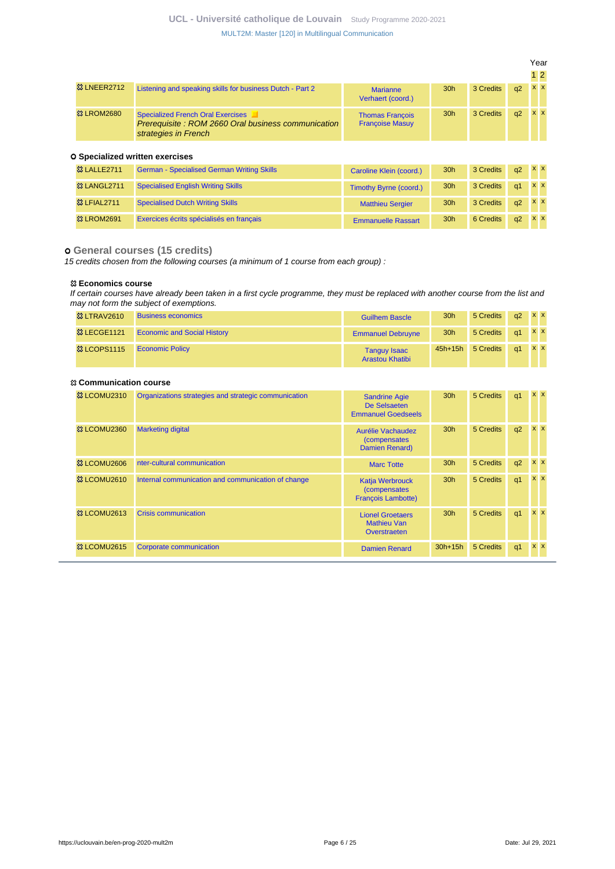|                        |                                                                                                                        |                                                  |                 |           |    | Year      |  |
|------------------------|------------------------------------------------------------------------------------------------------------------------|--------------------------------------------------|-----------------|-----------|----|-----------|--|
|                        |                                                                                                                        |                                                  |                 |           |    | $1\,2$    |  |
| <b>&amp; LNEER2712</b> | Listening and speaking skills for business Dutch - Part 2                                                              | <b>Marianne</b><br>Verhaert (coord.)             | 30 <sub>h</sub> | 3 Credits | q2 | <b>XX</b> |  |
| <b>&amp; LROM2680</b>  | <b>Specialized French Oral Exercises</b><br>Prerequisite: ROM 2660 Oral business communication<br>strategies in French | <b>Thomas Francois</b><br><b>Francoise Masuy</b> | 30 <sub>h</sub> | 3 Credits | q2 | $X$ $X$   |  |
|                        | <b>O</b> Specialized written exercises                                                                                 |                                                  |                 |           |    |           |  |

| <b>&amp; LALLE2711</b>  | <b>German - Specialised German Writing Skills</b> | Caroline Klein (coord.)       | 30 <sub>h</sub> | 3 Credits | q2 | <b>XX</b> |  |
|-------------------------|---------------------------------------------------|-------------------------------|-----------------|-----------|----|-----------|--|
| <b>&amp; LANGL2711</b>  | <b>Specialised English Writing Skills</b>         | <b>Timothy Byrne (coord.)</b> | 30 <sub>h</sub> | 3 Credits | q1 | <b>XX</b> |  |
| <b>&amp;3 LFIAL2711</b> | <b>Specialised Dutch Writing Skills</b>           | <b>Matthieu Sergier</b>       | 30 <sub>h</sub> | 3 Credits | q2 | <b>XX</b> |  |
| <b>&amp; LROM2691</b>   | Exercices écrits spécialisés en français          | <b>Emmanuelle Rassart</b>     | 30 <sub>h</sub> | 6 Credits | q2 | <b>XX</b> |  |

### **General courses (15 credits)**

15 credits chosen from the following courses (a minimum of 1 course from each group) :

### **Economics course**

If certain courses have already been taken in a first cycle programme, they must be replaced with another course from the list and may not form the subject of exemptions.

| <b>&amp; LTRAV2610</b> | <b>Business economics</b>          | <b>Guilhem Bascle</b>                         | 30h             | 5 Credits         | $a2 \times x$ |       |  |
|------------------------|------------------------------------|-----------------------------------------------|-----------------|-------------------|---------------|-------|--|
| <b>&amp; LECGE1121</b> | <b>Economic and Social History</b> | <b>Emmanuel Debruvne</b>                      | 30 <sub>h</sub> | 5 Credits q1 X X  |               |       |  |
| <b>&amp; LCOPS1115</b> | <b>Economic Policy</b>             | <b>Tanguy Isaac</b><br><b>Arastou Khatibi</b> |                 | 45h+15h 5 Credits | $\sqrt{a^2}$  | $X$ X |  |

### **Communication course**

| <sup>3</sup> LCOMU2310             | Organizations strategies and strategic communication | <b>Sandrine Agie</b><br>De Selsaeten<br><b>Emmanuel Goedseels</b>           | 30 <sub>h</sub> | 5 Credits | q1             | <b>XX</b>  |  |
|------------------------------------|------------------------------------------------------|-----------------------------------------------------------------------------|-----------------|-----------|----------------|------------|--|
| <sup>3</sup> LCOMU2360             | <b>Marketing digital</b>                             | Aurélie Vachaudez<br><i>(compensates)</i><br>Damien Renard)                 | 30 <sub>h</sub> | 5 Credits | q2             | $X$ $X$    |  |
| <sup>3</sup> LCOMU <sub>2606</sub> | nter-cultural communication                          | <b>Marc Totte</b>                                                           | 30 <sub>h</sub> | 5 Credits | q2             | $X$ $X$    |  |
| <sup>3</sup> LCOMU2610             | Internal communication and communication of change   | <b>Katja Werbrouck</b><br><i>(compensates)</i><br><b>Francois Lambotte)</b> | 30 <sub>h</sub> | 5 Credits | q1             | $x \times$ |  |
| <sup>3</sup> LCOMU2613             | <b>Crisis communication</b>                          | <b>Lionel Groetaers</b><br><b>Mathieu Van</b><br>Overstraeten               | 30 <sub>h</sub> | 5 Credits | q1             | $X$ $X$    |  |
| <sup>3</sup> LCOMU2615             | Corporate communication                              | <b>Damien Renard</b>                                                        | $30h+15h$       | 5 Credits | q <sub>1</sub> | $X$ $X$    |  |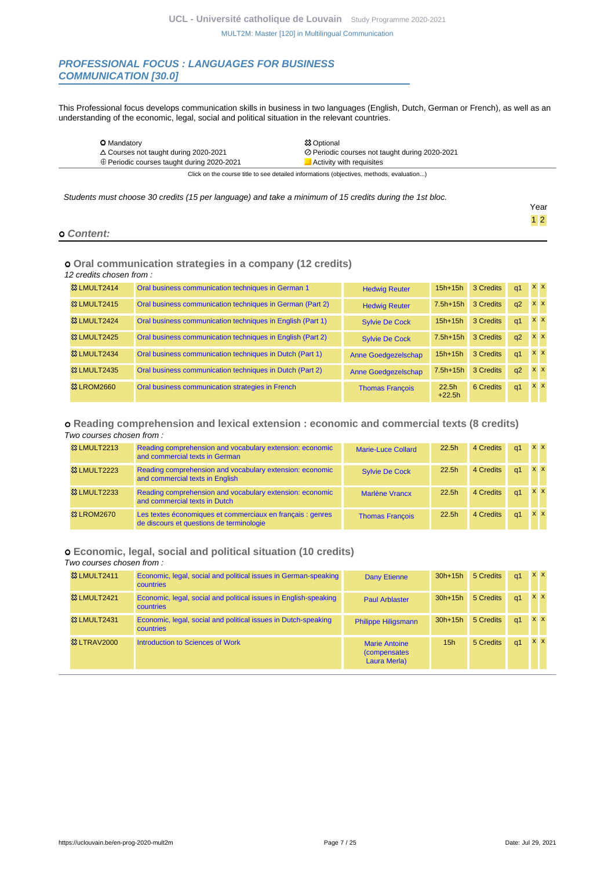### **PROFESSIONAL FOCUS : LANGUAGES FOR BUSINESS COMMUNICATION [30.0]**

This Professional focus develops communication skills in business in two languages (English, Dutch, German or French), as well as an understanding of the economic, legal, social and political situation in the relevant countries.

| <b>O</b> Mandatory                              | <b>83 Optional</b>                                                                       |
|-------------------------------------------------|------------------------------------------------------------------------------------------|
| $\triangle$ Courses not taught during 2020-2021 | ⊘ Periodic courses not taught during 2020-2021                                           |
| ⊕ Periodic courses taught during 2020-2021      | $\blacksquare$ Activity with requisites                                                  |
|                                                 | Click on the course title to see detailed informations (objectives, methods, evaluation) |

Students must choose 30 credits (15 per language) and take a minimum of 15 credits during the 1st bloc.

|            | Year                               |
|------------|------------------------------------|
|            | 1 <sup>2</sup><br>and the contract |
| o Content: |                                    |

### **Oral communication strategies in a company (12 credits)**

12 credits chosen from :

| 83 LMULT2414            | Oral business communication techniques in German 1         | <b>Hedwig Reuter</b>   | $15h+15h$         | 3 Credits | q1             | <b>XX</b>  |  |
|-------------------------|------------------------------------------------------------|------------------------|-------------------|-----------|----------------|------------|--|
| <b>&amp;3 LMULT2415</b> | Oral business communication techniques in German (Part 2)  | <b>Hedwig Reuter</b>   | $7.5h+15h$        | 3 Credits | q2             | <b>XX</b>  |  |
| <b>&amp;3 LMULT2424</b> | Oral business communication techniques in English (Part 1) | <b>Sylvie De Cock</b>  | $15h+15h$         | 3 Credits | q <sub>1</sub> | <b>XX</b>  |  |
| <b>&amp; LMULT2425</b>  | Oral business communication techniques in English (Part 2) | <b>Sylvie De Cock</b>  | $7.5h+15h$        | 3 Credits | q2             | <b>XX</b>  |  |
| <b>&amp;3 LMULT2434</b> | Oral business communication techniques in Dutch (Part 1)   | Anne Goedgezelschap    | $15h+15h$         | 3 Credits | q1             | <b>XX</b>  |  |
| <b>&amp;3 LMULT2435</b> | Oral business communication techniques in Dutch (Part 2)   | Anne Goedgezelschap    | $7.5h+15h$        | 3 Credits | q2             | <b>x x</b> |  |
| <b>83 LROM2660</b>      | Oral business communication strategies in French           | <b>Thomas Francois</b> | 22.5h<br>$+22.5h$ | 6 Credits | q1             | <b>XX</b>  |  |

### **Reading comprehension and lexical extension : economic and commercial texts (8 credits)**

| <b>&amp; LMULT2213</b> | Reading comprehension and vocabulary extension: economic<br>and commercial texts in German             | Marie-Luce Collard     | 22.5h | 4 Credits | q1         | <b>XX</b>  |            |
|------------------------|--------------------------------------------------------------------------------------------------------|------------------------|-------|-----------|------------|------------|------------|
| <b>&amp; LMULT2223</b> | Reading comprehension and vocabulary extension: economic<br>and commercial texts in English            | <b>Sylvie De Cock</b>  | 22.5h | 4 Credits | $\alpha$ 1 | $x \times$ |            |
| <b>&amp; LMULT2233</b> | Reading comprehension and vocabulary extension: economic<br>and commercial texts in Dutch              | <b>Marlène Vrancx</b>  | 22.5h | 4 Credits | $\alpha$ 1 | <b>x x</b> |            |
| <b>&amp; LROM2670</b>  | Les textes économiques et commerciaux en français : genres<br>de discours et questions de terminologie | <b>Thomas Francois</b> | 22.5h | 4 Credits | $\alpha$ 1 |            | <b>x x</b> |

# **Economic, legal, social and political situation (10 credits)**

Two courses chosen from :

| <b>&amp;3 LMULT2411</b> | Economic, legal, social and political issues in German-speaking<br><b>countries</b> | <b>Dany Etienne</b>                                          | $30h+15h$       | 5 Credits | q <sub>1</sub> | <b>XX</b>  |  |
|-------------------------|-------------------------------------------------------------------------------------|--------------------------------------------------------------|-----------------|-----------|----------------|------------|--|
| <b>&amp;3 LMULT2421</b> | Economic, legal, social and political issues in English-speaking<br>countries       | <b>Paul Arblaster</b>                                        | $30h+15h$       | 5 Credits | q <sub>1</sub> | $X$ $X$    |  |
| <b>&amp;3 LMULT2431</b> | Economic, legal, social and political issues in Dutch-speaking<br><b>countries</b>  | <b>Philippe Hiligsmann</b>                                   | $30h+15h$       | 5 Credits | q <sub>1</sub> | $x \times$ |  |
| <b>&amp; LTRAV2000</b>  | Introduction to Sciences of Work                                                    | <b>Marie Antoine</b><br><i>(compensates)</i><br>Laura Merla) | 15 <sub>h</sub> | 5 Credits | q <sub>1</sub> | <b>x x</b> |  |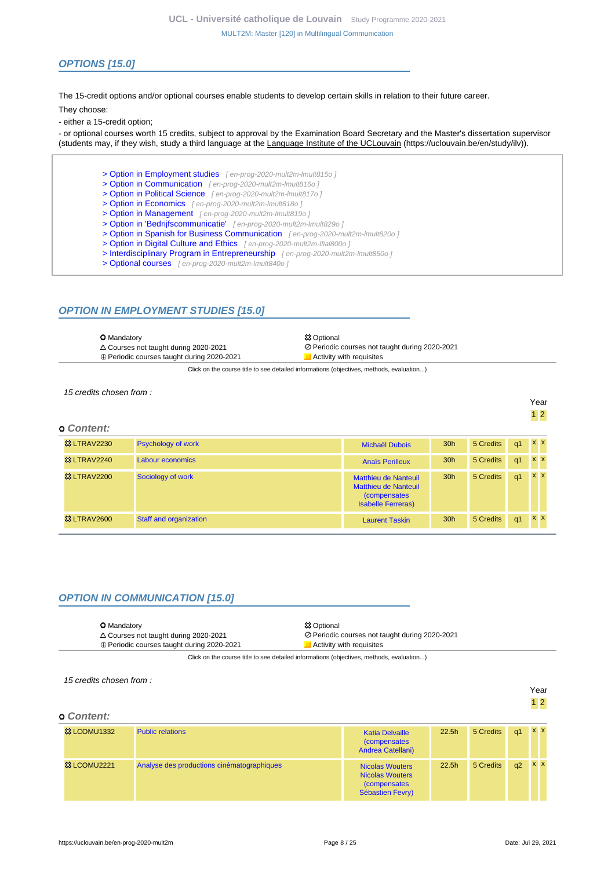# **OPTIONS [15.0]**

The 15-credit options and/or optional courses enable students to develop certain skills in relation to their future career.

They choose:

- either a 15-credit option;

- or optional courses worth 15 credits, subject to approval by the Examination Board Secretary and the Master's dissertation supervisor (students may, if they wish, study a third language at the Language Institute of the UCLouvain (https://uclouvain.be/en/study/ilv)).

- [> Option in Employment studies](en-prog-2020-mult2m-lmult815o) [ en-prog-2020-mult2m-lmult815o ]
- [> Option in Communication](en-prog-2020-mult2m-lmult816o) [ en-prog-2020-mult2m-lmult816o ]
- [> Option in Political Science](en-prog-2020-mult2m-lmult817o) [ en-prog-2020-mult2m-lmult817o ]
- [> Option in Economics](en-prog-2020-mult2m-lmult818o) [ en-prog-2020-mult2m-lmult818o ]
- [> Option in Management](en-prog-2020-mult2m-lmult819o) [ en-prog-2020-mult2m-lmult819o ]
- [> Option in 'Bedrijfscommunicatie'](en-prog-2020-mult2m-lmult829o) [en-prog-2020-mult2m-lmult829o]
- [> Option in Spanish for Business Communication](en-prog-2020-mult2m-lmult820o) [en-prog-2020-mult2m-lmult820o]
	- [> Option in Digital Culture and Ethics](en-prog-2020-mult2m-lfial800o) [en-prog-2020-mult2m-Ifial800o]
	- [> Interdisciplinary Program in Entrepreneurship](en-prog-2020-mult2m-lmult850o) [en-prog-2020-mult2m-lmult850o]
	- [> Optional courses](en-prog-2020-mult2m-lmult840o) [en-prog-2020-mult2m-lmult840o]

# **OPTION IN EMPLOYMENT STUDIES [15.0]**

| <b>O</b> Mandatory<br>$\triangle$ Courses not taught during 2020-2021                    | <b>83 Optional</b><br>⊘ Periodic courses not taught during 2020-2021 |  |  |  |
|------------------------------------------------------------------------------------------|----------------------------------------------------------------------|--|--|--|
| $\oplus$ Periodic courses taught during 2020-2021                                        | Activity with requisites                                             |  |  |  |
| Click on the course title to see detailed informations (objectives, methods, evaluation) |                                                                      |  |  |  |

15 credits chosen from :

# **Content:**

| ט שטוונכוונ.           |                               |                                                                                                   |                 |           |                |            |  |
|------------------------|-------------------------------|---------------------------------------------------------------------------------------------------|-----------------|-----------|----------------|------------|--|
| <b>&amp; LTRAV2230</b> | <b>Psychology of work</b>     | <b>Michaël Dubois</b>                                                                             | 30 <sub>h</sub> | 5 Credits | q1             | $X$ $X$    |  |
| <b>&amp; LTRAV2240</b> | Labour economics              | <b>Anaïs Perilleux</b>                                                                            | 30 <sub>h</sub> | 5 Credits | q <sub>1</sub> | x x        |  |
| <b>&amp; LTRAV2200</b> | Sociology of work             | Matthieu de Nanteuil<br>Matthieu de Nanteuil<br><i>(compensates)</i><br><b>Isabelle Ferreras)</b> | 30 <sub>h</sub> | 5 Credits | q1             | x x        |  |
| <b>&amp; LTRAV2600</b> | <b>Staff and organization</b> | <b>Laurent Taskin</b>                                                                             | 30 <sub>h</sub> | 5 Credits | q1             | $x \times$ |  |

# **OPTION IN COMMUNICATION [15.0]**

| <b>O</b> Mandatory                                                                     | <b>83 Optional</b>                             |  |  |  |
|----------------------------------------------------------------------------------------|------------------------------------------------|--|--|--|
| $\triangle$ Courses not taught during 2020-2021                                        | ⊘ Periodic courses not taught during 2020-2021 |  |  |  |
| $\oplus$ Periodic courses taught during 2020-2021                                      | Activity with requisites                       |  |  |  |
| Cliek on the course title to see detailed informations (objectives methods, ovaluation |                                                |  |  |  |

k on the course title to see detailed informations (objectives, methods, evaluation...)

| 15 credits chosen from: |                                            |                                                                                              |                   | Year      |                |            |                |
|-------------------------|--------------------------------------------|----------------------------------------------------------------------------------------------|-------------------|-----------|----------------|------------|----------------|
| <b>o</b> Content:       |                                            |                                                                                              |                   |           |                |            | 1 <sub>2</sub> |
| <b>&amp;3 LCOMU1332</b> | <b>Public relations</b>                    | <b>Katia Delvaille</b><br><i>(compensates)</i><br>Andrea Catellani)                          | 22.5h             | 5 Credits | q <sub>1</sub> | $x \times$ |                |
| <sup>3</sup> LCOMU2221  | Analyse des productions cinématographiques | <b>Nicolas Wouters</b><br><b>Nicolas Wouters</b><br><i>(compensates)</i><br>Sébastien Fevry) | 22.5 <sub>h</sub> | 5 Credits | q2             | $x \times$ |                |

Year 1 2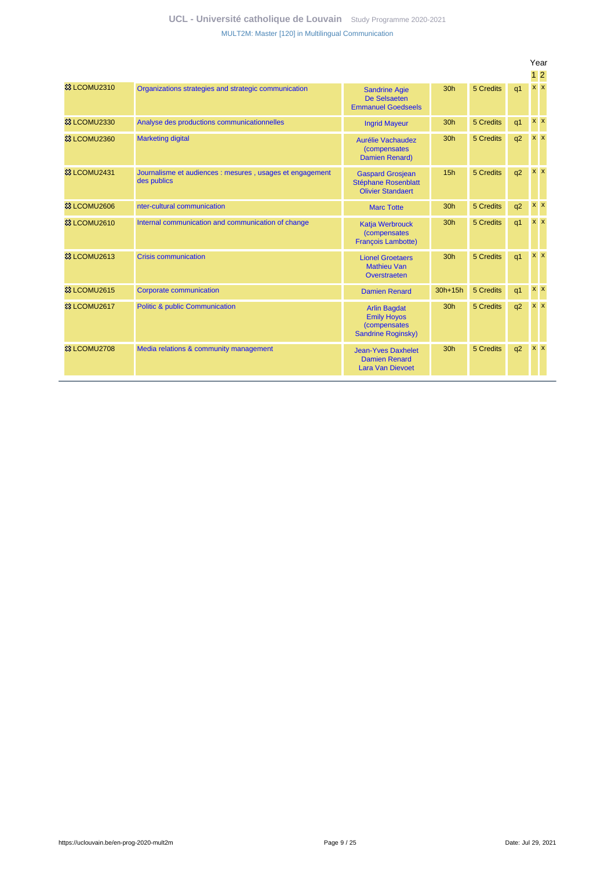|                         |                                                                         |                                                                                                |                 |           |                | Year            |  |
|-------------------------|-------------------------------------------------------------------------|------------------------------------------------------------------------------------------------|-----------------|-----------|----------------|-----------------|--|
|                         |                                                                         |                                                                                                |                 |           |                | $1\overline{2}$ |  |
| <b>83 LCOMU2310</b>     | Organizations strategies and strategic communication                    | <b>Sandrine Agie</b><br>De Selsaeten<br><b>Emmanuel Goedseels</b>                              | 30h             | 5 Credits | q <sub>1</sub> | $x \mid x$      |  |
| <sup>33</sup> LCOMU2330 | Analyse des productions communicationnelles                             | <b>Ingrid Mayeur</b>                                                                           | 30h             | 5 Credits | q <sub>1</sub> | $x \mid x$      |  |
| <sup>33</sup> LCOMU2360 | <b>Marketing digital</b>                                                | <b>Aurélie Vachaudez</b><br><i>(compensates)</i><br>Damien Renard)                             | 30 <sub>h</sub> | 5 Credits | q2             | $x \mid x$      |  |
| <sup>33</sup> LCOMU2431 | Journalisme et audiences : mesures, usages et engagement<br>des publics | <b>Gaspard Grosjean</b><br><b>Stéphane Rosenblatt</b><br><b>Olivier Standaert</b>              | 15h             | 5 Credits | q2             | $x \times$      |  |
| <sup>33</sup> LCOMU2606 | nter-cultural communication                                             | <b>Marc Totte</b>                                                                              | 30 <sub>h</sub> | 5 Credits | q2             | $x \, x$        |  |
| <b>83 LCOMU2610</b>     | Internal communication and communication of change                      | <b>Katja Werbrouck</b><br><i>(compensates)</i><br><b>Francois Lambotte)</b>                    | 30 <sub>h</sub> | 5 Credits | q <sub>1</sub> | $X$ $X$         |  |
| <sup>33</sup> LCOMU2613 | <b>Crisis communication</b>                                             | <b>Lionel Groetaers</b><br><b>Mathieu Van</b><br>Overstraeten                                  | 30h             | 5 Credits | q <sub>1</sub> | $x \mid x$      |  |
| <sup>33</sup> LCOMU2615 | <b>Corporate communication</b>                                          | <b>Damien Renard</b>                                                                           | $30h+15h$       | 5 Credits | q <sub>1</sub> | $x \mid x$      |  |
| <b>83 LCOMU2617</b>     | <b>Politic &amp; public Communication</b>                               | <b>Arlin Bagdat</b><br><b>Emily Hoyos</b><br><i>(compensates)</i><br><b>Sandrine Roginsky)</b> | 30 <sub>h</sub> | 5 Credits | q2             | $x \mid x$      |  |
| <b>&amp; LCOMU2708</b>  | Media relations & community management                                  | <b>Jean-Yves Daxhelet</b><br><b>Damien Renard</b><br><b>Lara Van Dievoet</b>                   | 30h             | 5 Credits | q2             | <b>x x</b>      |  |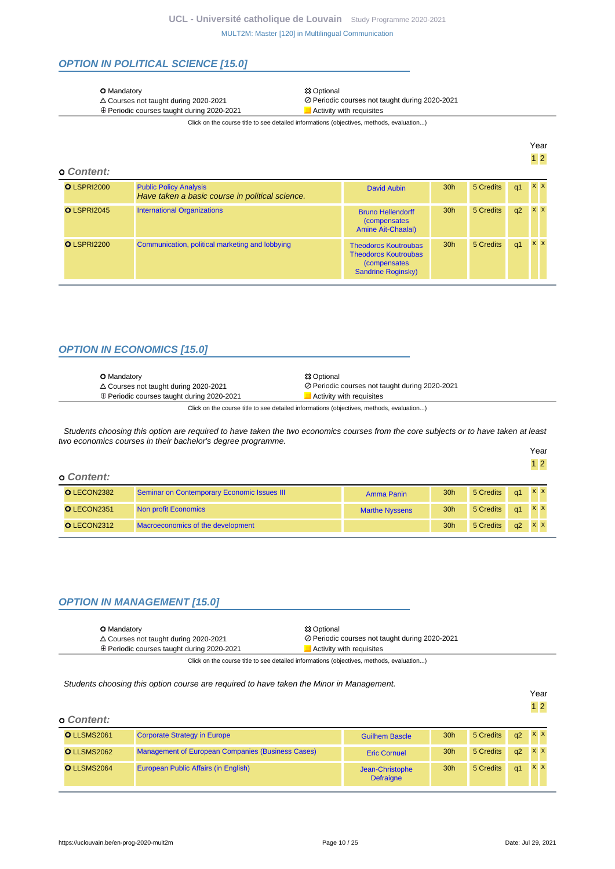# **OPTION IN POLITICAL SCIENCE [15.0]**

#### O Mandatory **O Mandatory O Mandatory O Mandatory O** Mandatory **O** Mandatory **O** Mandatory **O** Mandatory **O** Mandatory **O** Mandatory **O** Mandatory **O** Mandatory **O** Mandatory **O** Mandatory **O** Mandatory **O** Mandatory

- 
- $\oplus$  Periodic courses taught during 2020-2021

△ Courses not taught during 2020-2021 <br>
⊕ Periodic courses taught during 2020-2021 <br>
Periodic courses taught during 2020-2021 <br>
■ Activity with requisites

Click on the course title to see detailed informations (objectives, methods, evaluation...)

| ą<br>r<br>⊶ |
|-------------|
|             |

Year 1 2

#### **Content:**

| <b>O LSPRI2000</b> | <b>Public Policy Analysis</b><br>Have taken a basic course in political science. | David Aubin                                                                                              | 30 <sub>h</sub> | 5 Credits | q1 | XX      |
|--------------------|----------------------------------------------------------------------------------|----------------------------------------------------------------------------------------------------------|-----------------|-----------|----|---------|
| O LSPRI2045        | <b>International Organizations</b>                                               | <b>Bruno Hellendorff</b><br><i>(compensates)</i><br><b>Amine Ait-Chaalal)</b>                            | 30 <sub>h</sub> | 5 Credits | q2 | XX      |
| <b>OLSPRI2200</b>  | Communication, political marketing and lobbying                                  | <b>Theodoros Koutroubas</b><br><b>Theodoros Koutroubas</b><br><i>(compensates)</i><br>Sandrine Roginsky) | 30 <sub>h</sub> | 5 Credits | q1 | $X$ $X$ |

# **OPTION IN ECONOMICS [15.0]**

| <b>O</b> Mandatory                                | <b>83 Optional</b>                             |
|---------------------------------------------------|------------------------------------------------|
| $\triangle$ Courses not taught during 2020-2021   | ⊘ Periodic courses not taught during 2020-2021 |
| $\oplus$ Periodic courses taught during 2020-2021 | Activity with requisites                       |

Click on the course title to see detailed informations (objectives, methods, evaluation...)

Students choosing this option are required to have taken the two economics courses from the core subjects or to have taken at least two economics courses in their bachelor's degree programme.

| <b>o</b> Content: |                                             |                       |                 |                  |               |  |
|-------------------|---------------------------------------------|-----------------------|-----------------|------------------|---------------|--|
| O LECON2382       | Seminar on Contemporary Economic Issues III | Amma Panin            | 30 <sub>h</sub> | 5 Credits        | $q1 \times x$ |  |
| O LECON2351       | Non profit Economics                        | <b>Marthe Nyssens</b> | 30 <sub>h</sub> | 5 Credits q1 X X |               |  |
| O LECON2312       | Macroeconomics of the development           |                       | 30 <sub>h</sub> | 5 Credits        | $q2 \times x$ |  |

# **OPTION IN MANAGEMENT [15.0]**

|  | <b>O</b> Mandatory<br>$\triangle$ Courses not taught during 2020-2021<br>⊕ Periodic courses taught during 2020-2021 | <b>83 Optional</b><br>⊘ Periodic courses not taught during 2020-2021<br>Activity with requisites |
|--|---------------------------------------------------------------------------------------------------------------------|--------------------------------------------------------------------------------------------------|
|--|---------------------------------------------------------------------------------------------------------------------|--------------------------------------------------------------------------------------------------|

Click on the course title to see detailed informations (objectives, methods, evaluation...)

### Students choosing this option course are required to have taken the Minor in Management.

|                   |                                                          |                                     |                 |           |    | Year<br>$1\overline{2}$ |  |
|-------------------|----------------------------------------------------------|-------------------------------------|-----------------|-----------|----|-------------------------|--|
| <b>o</b> Content: |                                                          |                                     |                 |           |    |                         |  |
| O LLSMS2061       | <b>Corporate Strategy in Europe</b>                      | <b>Guilhem Bascle</b>               | 30 <sub>h</sub> | 5 Credits | q2 | <b>XX</b>               |  |
| O LLSMS2062       | <b>Management of European Companies (Business Cases)</b> | <b>Eric Cornuel</b>                 | 30 <sub>h</sub> | 5 Credits | q2 | <b>XX</b>               |  |
| O LLSMS2064       | European Public Affairs (in English)                     | Jean-Christophe<br><b>Defraigne</b> | 30 <sub>h</sub> | 5 Credits | q1 | <b>XX</b>               |  |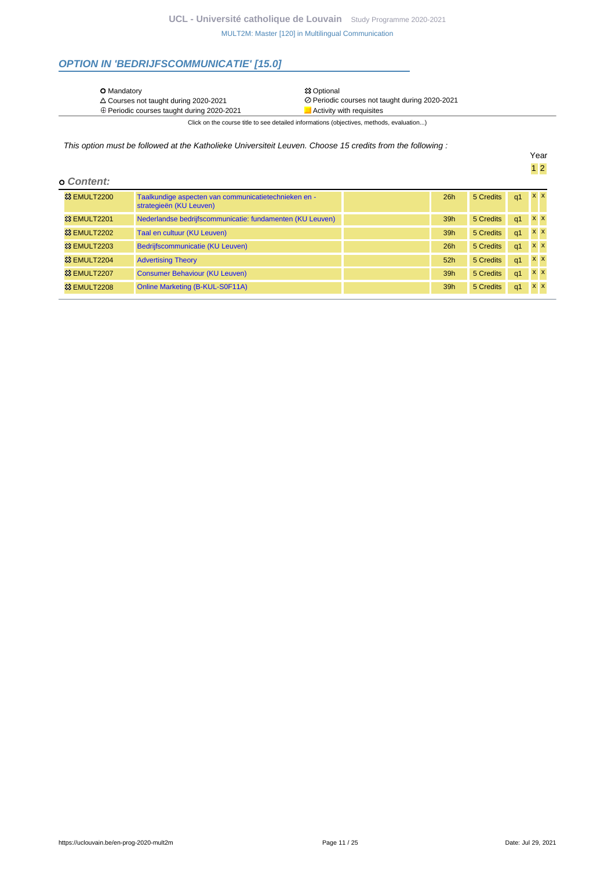# **OPTION IN 'BEDRIJFSCOMMUNICATIE' [15.0]**

⊕ Periodic courses taught during 2020-2021 <br>
■ Activity with requisites

 Courses not taught during 2020-2021 Periodic courses not taught during 2020-2021 Click on the course title to see detailed informations (objectives, methods, evaluation...)

This option must be followed at the Katholieke Universiteit Leuven. Choose 15 credits from the following :

|  |  | o Content: |  |
|--|--|------------|--|
|--|--|------------|--|

| -----------                    |                                                                                 |     |           |            |                           |  |
|--------------------------------|---------------------------------------------------------------------------------|-----|-----------|------------|---------------------------|--|
| <b>&amp; EMULT2200</b>         | Taalkundige aspecten van communicatietechnieken en -<br>strategieën (KU Leuven) | 26h | 5 Credits | q1         | XX                        |  |
| <b>83 EMULT2201</b>            | Nederlandse bedrijfscommunicatie: fundamenten (KU Leuven)                       | 39h | 5 Credits | q1         | $X$ $X$                   |  |
| <b>23 EMULT2202</b>            | Taal en cultuur (KU Leuven)                                                     | 39h | 5 Credits | q1         | $\mathbf{x}$ x            |  |
| <b>23 EMULT2203</b>            | Bedrijfscommunicatie (KU Leuven)                                                | 26h | 5 Credits | q1         | $\mathbf{x}$ $\mathbf{x}$ |  |
| 83 EMULT2204                   | <b>Advertising Theory</b>                                                       | 52h | 5 Credits | $q1$ $x x$ |                           |  |
| <sup>3</sup> EMULT2207         | <b>Consumer Behaviour (KU Leuven)</b>                                           | 39h | 5 Credits | q1         | $x \times$                |  |
| <b><sup>33</sup> EMULT2208</b> | Online Marketing (B-KUL-S0F11A)                                                 | 39h | 5 Credits | q1         | $X$ $X$                   |  |

Year 1 2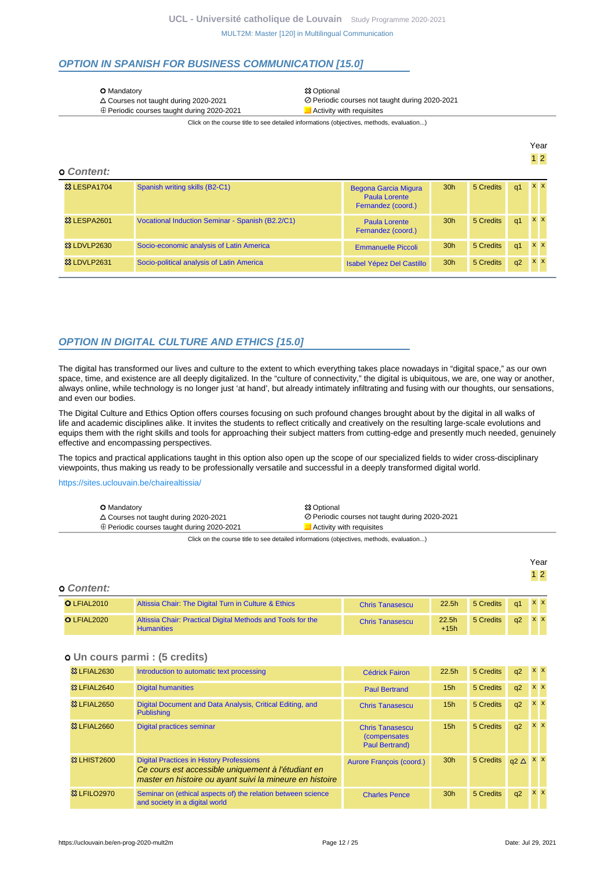# **OPTION IN SPANISH FOR BUSINESS COMMUNICATION [15.0]**

|  | <b>O</b> Mandatory |
|--|--------------------|
|--|--------------------|

 $\oplus$  Periodic courses taught during 2020-2021

**XX Optional** Courses not taught during 2020-2021 Periodic courses not taught during 2020-2021

Click on the course title to see detailed informations (objectives, methods, evaluation...)

Year 1 2

#### **Content:**

| <b>&amp; LESPA1704</b> | Spanish writing skills (B2-C1)                   | Begona Garcia Migura<br>Paula Lorente<br>Fernandez (coord.) | 30 <sub>h</sub> | 5 Credits | q1 | <b>XX</b>  |
|------------------------|--------------------------------------------------|-------------------------------------------------------------|-----------------|-----------|----|------------|
| <b>83 LESPA2601</b>    | Vocational Induction Seminar - Spanish (B2.2/C1) | Paula Lorente<br>Fernandez (coord.)                         | 30 <sub>h</sub> | 5 Credits | q1 | <b>XX</b>  |
| <b>83 LDVLP2630</b>    | Socio-economic analysis of Latin America         | <b>Emmanuelle Piccoli</b>                                   | 30 <sub>h</sub> | 5 Credits | q1 | <b>x</b> x |
| 83 LDVLP2631           | Socio-political analysis of Latin America        | <b>Isabel Yépez Del Castillo</b>                            | 30 <sub>h</sub> | 5 Credits | q2 | $X$ $X$    |

# **OPTION IN DIGITAL CULTURE AND ETHICS [15.0]**

The digital has transformed our lives and culture to the extent to which everything takes place nowadays in "digital space," as our own space, time, and existence are all deeply digitalized. In the "culture of connectivity," the digital is ubiquitous, we are, one way or another, always online, while technology is no longer just 'at hand', but already intimately infiltrating and fusing with our thoughts, our sensations, and even our bodies.

The Digital Culture and Ethics Option offers courses focusing on such profound changes brought about by the digital in all walks of life and academic disciplines alike. It invites the students to reflect critically and creatively on the resulting large-scale evolutions and equips them with the right skills and tools for approaching their subject matters from cutting-edge and presently much needed, genuinely effective and encompassing perspectives.

The topics and practical applications taught in this option also open up the scope of our specialized fields to wider cross-disciplinary viewpoints, thus making us ready to be professionally versatile and successful in a deeply transformed digital world.

<https://sites.uclouvain.be/chairealtissia/>

| <b>O</b> Mandatory                                | <b>83 Optional</b>                             |
|---------------------------------------------------|------------------------------------------------|
| $\triangle$ Courses not taught during 2020-2021   | ⊘ Periodic courses not taught during 2020-2021 |
| $\oplus$ Periodic courses taught during 2020-2021 | Activity with requisites                       |

Click on the course title to see detailed informations (objectives, methods, evaluation...)

| <b>o</b> Content: |                                                                                  |                        |                             |           |    | Year<br>$1\overline{2}$ |  |
|-------------------|----------------------------------------------------------------------------------|------------------------|-----------------------------|-----------|----|-------------------------|--|
| O LFIAL2010       | Altissia Chair: The Digital Turn in Culture & Ethics                             | <b>Chris Tanasescu</b> | 22.5 <sub>h</sub>           | 5 Credits | q1 | <b>x x</b>              |  |
| O LFIAL2020       | Altissia Chair: Practical Digital Methods and Tools for the<br><b>Humanities</b> | <b>Chris Tanasescu</b> | 22.5 <sub>h</sub><br>$+15h$ | 5 Credits | q2 | <b>XX</b>               |  |

### **Un cours parmi : (5 credits)**

| <b>&amp; LFIAL2630</b> | Introduction to automatic text processing                                                                                                                         | <b>Cédrick Fairon</b>                                                   | 22.5 <sub>h</sub> | 5 Credits | q2          | $x \times$ |
|------------------------|-------------------------------------------------------------------------------------------------------------------------------------------------------------------|-------------------------------------------------------------------------|-------------------|-----------|-------------|------------|
| <b>&amp; LFIAL2640</b> | <b>Digital humanities</b>                                                                                                                                         | <b>Paul Bertrand</b>                                                    | 15 <sub>h</sub>   | 5 Credits | q2          | $x \times$ |
| <b>&amp; LFIAL2650</b> | Digital Document and Data Analysis, Critical Editing, and<br><b>Publishing</b>                                                                                    | <b>Chris Tanasescu</b>                                                  | 15 <sub>h</sub>   | 5 Credits | q2          | $x \times$ |
| 33 LFIAL2660           | Digital practices seminar                                                                                                                                         | <b>Chris Tanasescu</b><br><i>(compensates)</i><br><b>Paul Bertrand)</b> | 15 <sub>h</sub>   | 5 Credits | q2          | <b>XX</b>  |
| <b>&amp; LHIST2600</b> | <b>Digital Practices in History Professions</b><br>Ce cours est accessible uniquement à l'étudiant en<br>master en histoire ou ayant suivi la mineure en histoire | Aurore François (coord.)                                                | 30 <sub>h</sub>   | 5 Credits | $a2 \Delta$ | $x \mid x$ |
| <b>83 LFILO2970</b>    | Seminar on (ethical aspects of) the relation between science<br>and society in a digital world                                                                    | <b>Charles Pence</b>                                                    | 30 <sub>h</sub>   | 5 Credits | q2          | <b>x x</b> |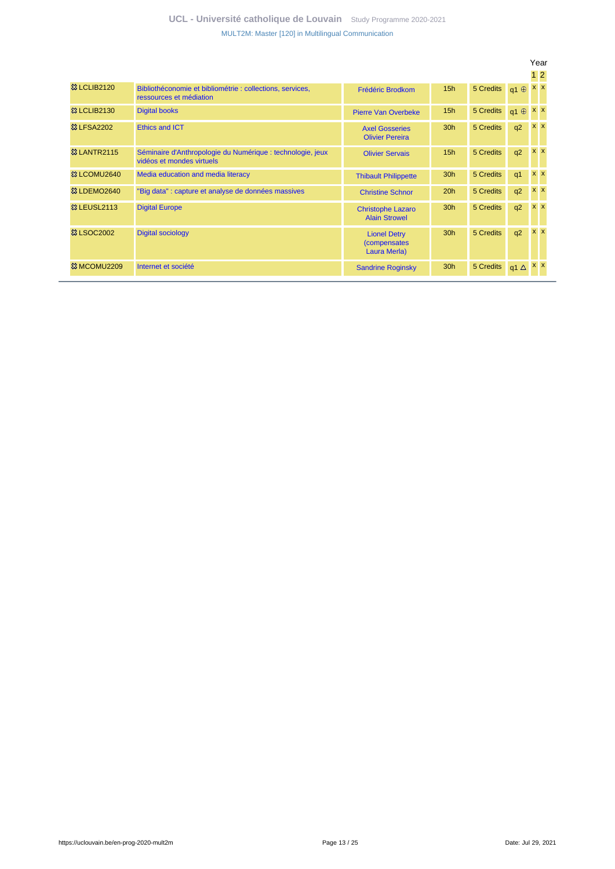|                         |                                                                                         |                                                            |                 |           |                | $1\,2$     |  |
|-------------------------|-----------------------------------------------------------------------------------------|------------------------------------------------------------|-----------------|-----------|----------------|------------|--|
| <b>83 LCLIB2120</b>     | Bibliothéconomie et bibliométrie : collections, services,<br>ressources et médiation    | <b>Frédéric Brodkom</b>                                    | 15h             | 5 Credits | $q1 \oplus$    | <b>x x</b> |  |
| <b>&amp;3 LCLIB2130</b> | <b>Digital books</b>                                                                    | <b>Pierre Van Overbeke</b>                                 | 15h             | 5 Credits | $q1 \oplus$    | <b>x x</b> |  |
| <b>&amp; LFSA2202</b>   | Ethics and ICT                                                                          | <b>Axel Gosseries</b><br><b>Olivier Pereira</b>            | 30 <sub>h</sub> | 5 Credits | q2             | <b>x x</b> |  |
| <b>&amp;3 LANTR2115</b> | Séminaire d'Anthropologie du Numérique : technologie, jeux<br>vidéos et mondes virtuels | <b>Olivier Servais</b>                                     | 15 <sub>h</sub> | 5 Credits | q2             | $x \times$ |  |
| 33 LCOMU2640            | Media education and media literacy                                                      | <b>Thibault Philippette</b>                                | 30 <sub>h</sub> | 5 Credits | q <sub>1</sub> | <b>x</b> x |  |
| <b>&amp; LDEMO2640</b>  | "Big data" : capture et analyse de données massives                                     | <b>Christine Schnor</b>                                    | 20h             | 5 Credits | q2             | <b>x x</b> |  |
| <b>&amp; LEUSL2113</b>  | <b>Digital Europe</b>                                                                   | <b>Christophe Lazaro</b><br><b>Alain Strowel</b>           | 30 <sub>h</sub> | 5 Credits | q2             | <b>XX</b>  |  |
| <b>&amp; LSOC2002</b>   | <b>Digital sociology</b>                                                                | <b>Lionel Detry</b><br><i>(compensates</i><br>Laura Merla) | 30 <sub>h</sub> | 5 Credits | q2             | <b>XX</b>  |  |
| <b>83 MCOMU2209</b>     | Internet et société                                                                     | <b>Sandrine Roginsky</b>                                   | 30 <sub>h</sub> | 5 Credits | q1 $\Delta$    | <b>XX</b>  |  |

Year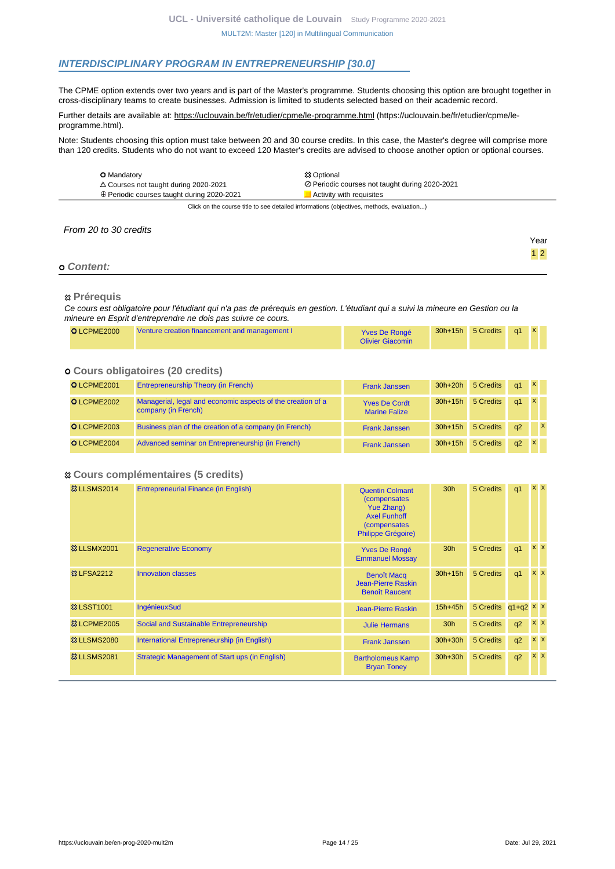# **INTERDISCIPLINARY PROGRAM IN ENTREPRENEURSHIP [30.0]**

The CPME option extends over two years and is part of the Master's programme. Students choosing this option are brought together in cross-disciplinary teams to create businesses. Admission is limited to students selected based on their academic record.

Further details are available at: https://uclouvain.be/fr/etudier/cpme/le-programme.html (https://uclouvain.be/fr/etudier/cpme/leprogramme.html).

Note: Students choosing this option must take between 20 and 30 course credits. In this case, the Master's degree will comprise more than 120 credits. Students who do not want to exceed 120 Master's credits are advised to choose another option or optional courses.

| <b>O</b> Mandatory                                                                       | <b>83 Optional</b>                             |  |  |  |
|------------------------------------------------------------------------------------------|------------------------------------------------|--|--|--|
| $\triangle$ Courses not taught during 2020-2021                                          | ⊘ Periodic courses not taught during 2020-2021 |  |  |  |
| $\oplus$ Periodic courses taught during 2020-2021                                        | Activity with requisites                       |  |  |  |
| Click on the course title to see detailed informations (objectives, methods, evaluation) |                                                |  |  |  |

From 20 to 30 credits

### **Content:**

### **Prérequis**

Ce cours est obligatoire pour l'étudiant qui n'a pas de prérequis en gestion. L'étudiant qui a suivi la mineure en Gestion ou la mineure en Esprit d'entreprendre ne dois pas suivre ce cours.

| O LCPME2000 | Venture creation financement and management I | Yves De Rongé<br><b>Olivier Giacomin</b> |  | 30h+15h 5 Credits a1 |  |  |  |
|-------------|-----------------------------------------------|------------------------------------------|--|----------------------|--|--|--|
|-------------|-----------------------------------------------|------------------------------------------|--|----------------------|--|--|--|

# **Cours obligatoires (20 credits)**

| O LCPME2001 | <b>Entrepreneurship Theory (in French)</b>                                         | <b>Frank Janssen</b>                         | $30h+20h$ | 5 Credits | q1 | $\mathbf{X}$ |              |
|-------------|------------------------------------------------------------------------------------|----------------------------------------------|-----------|-----------|----|--------------|--------------|
| O LCPME2002 | Managerial, legal and economic aspects of the creation of a<br>company (in French) | <b>Yves De Cordt</b><br><b>Marine Falize</b> | $30h+15h$ | 5 Credits | q1 | $\mathbf{x}$ |              |
| O LCPME2003 | Business plan of the creation of a company (in French)                             | <b>Frank Janssen</b>                         | $30h+15h$ | 5 Credits | q2 |              | $\mathbf{x}$ |
| O LCPME2004 | Advanced seminar on Entrepreneurship (in French)                                   | <b>Frank Janssen</b>                         | $30h+15h$ | 5 Credits | q2 |              |              |

### **Cours complémentaires (5 credits)**

| <b>&amp; LLSMS2014</b> | Entrepreneurial Finance (in English)           | <b>Quentin Colmant</b><br><i>(compensates)</i><br><b>Yue Zhang)</b><br><b>Axel Funhoff</b><br>(compensates<br><b>Philippe Grégoire)</b> | 30 <sub>h</sub> | 5 Credits           | q <sub>1</sub> | $x \times$     |         |
|------------------------|------------------------------------------------|-----------------------------------------------------------------------------------------------------------------------------------------|-----------------|---------------------|----------------|----------------|---------|
| <b>83 LLSMX2001</b>    | <b>Regenerative Economy</b>                    | <b>Yves De Rongé</b><br><b>Emmanuel Mossay</b>                                                                                          | 30 <sub>h</sub> | 5 Credits           | q <sub>1</sub> |                | $X$ $X$ |
| <b>&amp; LFSA2212</b>  | <b>Innovation classes</b>                      | <b>Benoît Macq</b><br>Jean-Pierre Raskin<br><b>Benoît Raucent</b>                                                                       | $30h+15h$       | 5 Credits           | q <sub>1</sub> | $x \times$     |         |
| <b>&amp; LSST1001</b>  | <b>IngénieuxSud</b>                            | <b>Jean-Pierre Raskin</b>                                                                                                               | $15h+45h$       | 5 Credits q1+q2 x x |                |                |         |
| <b>&amp; LCPME2005</b> | Social and Sustainable Entrepreneurship        | <b>Julie Hermans</b>                                                                                                                    | 30 <sub>h</sub> | 5 Credits           | q2             | $x \mathbf{X}$ |         |
| <b>&amp; LLSMS2080</b> | International Entrepreneurship (in English)    | <b>Frank Janssen</b>                                                                                                                    | $30h+30h$       | 5 Credits           | q2             | <b>XX</b>      |         |
| <b>83 LLSMS2081</b>    | Strategic Management of Start ups (in English) | <b>Bartholomeus Kamp</b><br><b>Bryan Toney</b>                                                                                          | $30h+30h$       | 5 Credits           | q2             | <b>XX</b>      |         |

Year 1 2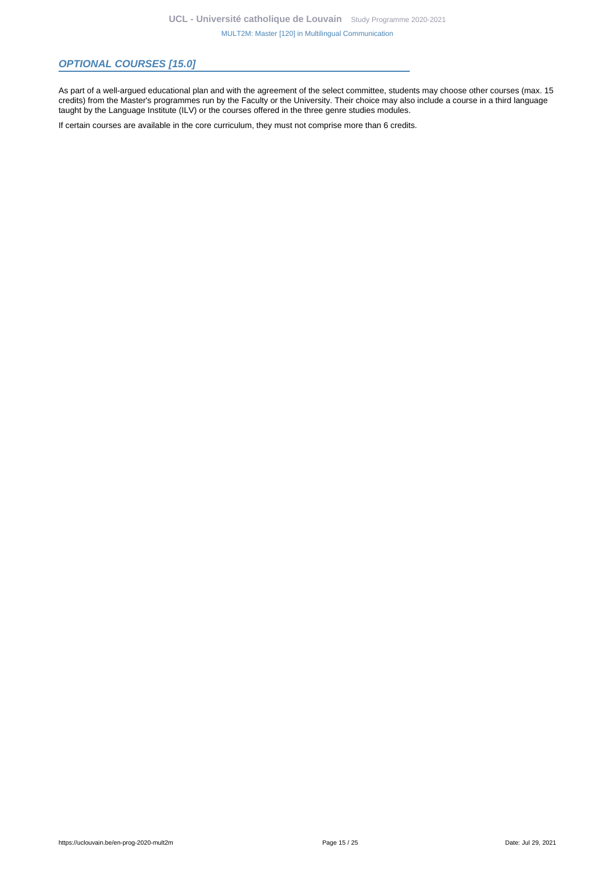# **OPTIONAL COURSES [15.0]**

As part of a well-argued educational plan and with the agreement of the select committee, students may choose other courses (max. 15 credits) from the Master's programmes run by the Faculty or the University. Their choice may also include a course in a third language taught by the Language Institute (ILV) or the courses offered in the three genre studies modules.

If certain courses are available in the core curriculum, they must not comprise more than 6 credits.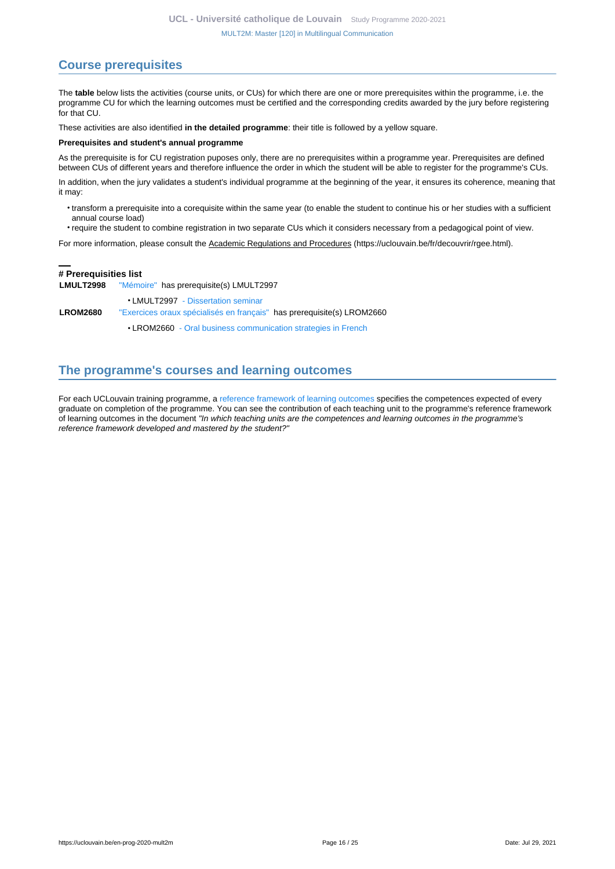# <span id="page-15-0"></span>**Course prerequisites**

The **table** below lists the activities (course units, or CUs) for which there are one or more prerequisites within the programme, i.e. the programme CU for which the learning outcomes must be certified and the corresponding credits awarded by the jury before registering for that CU.

These activities are also identified **in the detailed programme**: their title is followed by a yellow square.

#### **Prerequisites and student's annual programme**

As the prerequisite is for CU registration puposes only, there are no prerequisites within a programme year. Prerequisites are defined between CUs of different years and therefore influence the order in which the student will be able to register for the programme's CUs.

In addition, when the jury validates a student's individual programme at the beginning of the year, it ensures its coherence, meaning that it may:

- transform a prerequisite into a corequisite within the same year (to enable the student to continue his or her studies with a sufficient annual course load)
- require the student to combine registration in two separate CUs which it considers necessary from a pedagogical point of view.

For more information, please consult the Academic Regulations and Procedures (https://uclouvain.be/fr/decouvrir/rgee.html).

# **# Prerequisities list**

**LMULT2998** ["Mémoire"](https://uclouvain.be/en-cours-2020-LMULT2998) has prerequisite(s) LMULT2997

• LMULT2997 [- Dissertation seminar](https://uclouvain.be/en-cours-2020-LMULT2997) **LROM2680** ["Exercices oraux spécialisés en français"](https://uclouvain.be/en-cours-2020-LROM2680) has prerequisite(s) LROM2660

• LROM2660 [- Oral business communication strategies in French](https://uclouvain.be/en-cours-2020-LROM2660)

# <span id="page-15-1"></span>**The programme's courses and learning outcomes**

For each UCLouvain training programme, a [reference framework of learning outcomes](https://uclouvain.be/en-prog-2020-mult2m-competences_et_acquis.html) specifies the competences expected of every graduate on completion of the programme. You can see the contribution of each teaching unit to the programme's reference framework of learning outcomes in the document "In which teaching units are the competences and learning outcomes in the programme's reference framework developed and mastered by the student?"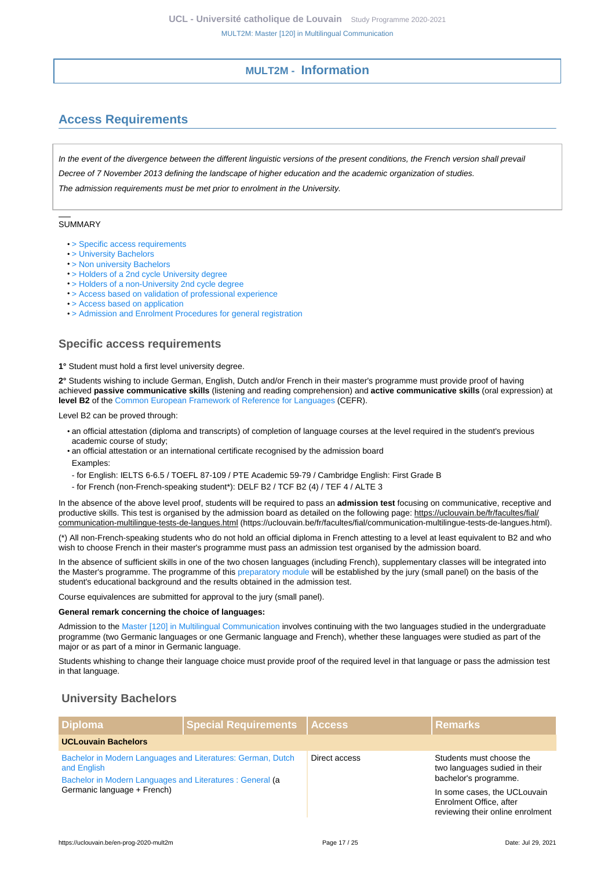# **MULT2M - Information**

# <span id="page-16-1"></span><span id="page-16-0"></span>**Access Requirements**

In the event of the divergence between the different linguistic versions of the present conditions, the French version shall prevail Decree of 7 November 2013 defining the landscape of higher education and the academic organization of studies. The admission requirements must be met prior to enrolment in the University.

#### **SUMMARY**

- [> Specific access requirements](#page-16-2)
- [> University Bachelors](#page-16-3)
- [> Non university Bachelors](#page-17-0)
- [> Holders of a 2nd cycle University degree](#page-18-0)
- [> Holders of a non-University 2nd cycle degree](#page-18-1)
- [> Access based on validation of professional experience](#page-18-2)
- [> Access based on application](#page-18-3)
- [> Admission and Enrolment Procedures for general registration](#page-19-0)

### <span id="page-16-2"></span>**Specific access requirements**

**1°** Student must hold a first level university degree.

**2°** Students wishing to include German, English, Dutch and/or French in their master's programme must provide proof of having achieved **passive communicative skills** (listening and reading comprehension) and **active communicative skills** (oral expression) at **level B2** of the [Common European Framework of Reference for Languages](https://www.coe.int/en/web/common-european-framework-reference-languages/level-descriptions) (CEFR).

Level B2 can be proved through:

- an official attestation (diploma and transcripts) of completion of language courses at the level required in the student's previous academic course of study;
- an official attestation or an international certificate recognised by the admission board Examples:
- for English: IELTS 6-6.5 / TOEFL 87-109 / PTE Academic 59-79 / Cambridge English: First Grade B
- for French (non-French-speaking student\*): DELF B2 / TCF B2 (4) / TEF 4 / ALTE 3

In the absence of the above level proof, students will be required to pass an **admission test** focusing on communicative, receptive and productive skills. This test is organised by the admission board as detailed on the following page: https://uclouvain.be/fr/facultes/fial/ communication-multilingue-tests-de-langues.html (https://uclouvain.be/fr/facultes/fial/communication-multilingue-tests-de-langues.html).

(\*) All non-French-speaking students who do not hold an official diploma in French attesting to a level at least equivalent to B2 and who wish to choose French in their master's programme must pass an admission test organised by the admission board.

In the absence of sufficient skills in one of the two chosen languages (including French), supplementary classes will be integrated into the Master's programme. The programme of this [preparatory module](https://uclouvain.be/en-prog-mult2m-module_complementaire) will be established by the jury (small panel) on the basis of the student's educational background and the results obtained in the admission test.

Course equivalences are submitted for approval to the jury (small panel).

#### **General remark concerning the choice of languages:**

Admission to the [Master \[120\] in Multilingual Communication](https://uclouvain.be/en-prog-2020-mult2m) involves continuing with the two languages studied in the undergraduate programme (two Germanic languages or one Germanic language and French), whether these languages were studied as part of the major or as part of a minor in Germanic language.

Students whishing to change their language choice must provide proof of the required level in that language or pass the admission test in that language.

# <span id="page-16-3"></span>**University Bachelors**

| <b>Diploma</b>                                                                                                                                                         | Special Requirements   Access |               | <b>Remarks</b>                                                                              |  |  |
|------------------------------------------------------------------------------------------------------------------------------------------------------------------------|-------------------------------|---------------|---------------------------------------------------------------------------------------------|--|--|
| <b>UCLouvain Bachelors</b>                                                                                                                                             |                               |               |                                                                                             |  |  |
| Bachelor in Modern Languages and Literatures: German, Dutch<br>and English<br>Bachelor in Modern Languages and Literatures : General (a<br>Germanic language + French) |                               | Direct access | Students must choose the<br>two languages sudied in their<br>bachelor's programme.          |  |  |
|                                                                                                                                                                        |                               |               | In some cases, the UCLouvain<br>Enrolment Office, after<br>reviewing their online enrolment |  |  |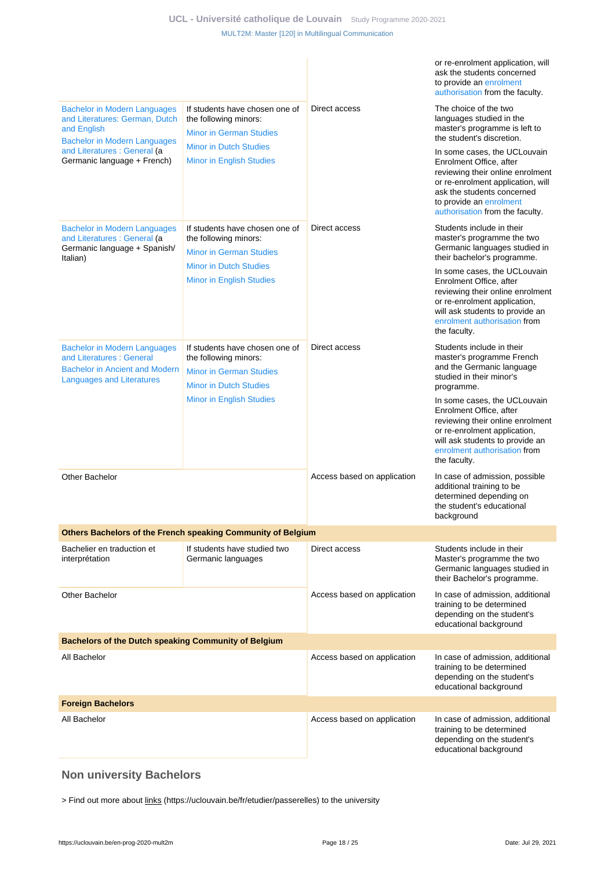|                                                                                                                                              |                                                                                                                            |                             | or re-enrolment application, will<br>ask the students concerned<br>to provide an enrolment<br>authorisation from the faculty.                                                                                                |
|----------------------------------------------------------------------------------------------------------------------------------------------|----------------------------------------------------------------------------------------------------------------------------|-----------------------------|------------------------------------------------------------------------------------------------------------------------------------------------------------------------------------------------------------------------------|
| <b>Bachelor in Modern Languages</b><br>and Literatures: German, Dutch<br>and English<br><b>Bachelor in Modern Languages</b>                  | If students have chosen one of<br>the following minors:<br><b>Minor in German Studies</b>                                  | Direct access               | The choice of the two<br>languages studied in the<br>master's programme is left to<br>the student's discretion.                                                                                                              |
| and Literatures : General (a<br>Germanic language + French)                                                                                  | <b>Minor in Dutch Studies</b><br><b>Minor in English Studies</b>                                                           |                             | In some cases, the UCLouvain<br>Enrolment Office, after<br>reviewing their online enrolment<br>or re-enrolment application, will<br>ask the students concerned<br>to provide an enrolment<br>authorisation from the faculty. |
| <b>Bachelor in Modern Languages</b><br>and Literatures : General (a<br>Germanic language + Spanish/<br>Italian)                              | If students have chosen one of<br>the following minors:<br><b>Minor in German Studies</b>                                  | Direct access               | Students include in their<br>master's programme the two<br>Germanic languages studied in<br>their bachelor's programme.                                                                                                      |
|                                                                                                                                              | <b>Minor in Dutch Studies</b><br><b>Minor in English Studies</b>                                                           |                             | In some cases, the UCLouvain<br>Enrolment Office, after<br>reviewing their online enrolment<br>or re-enrolment application,<br>will ask students to provide an<br>enrolment authorisation from<br>the faculty.               |
| <b>Bachelor in Modern Languages</b><br>and Literatures: General<br><b>Bachelor in Ancient and Modern</b><br><b>Languages and Literatures</b> | If students have chosen one of<br>the following minors:<br><b>Minor in German Studies</b><br><b>Minor in Dutch Studies</b> | Direct access               | Students include in their<br>master's programme French<br>and the Germanic language<br>studied in their minor's<br>programme.                                                                                                |
|                                                                                                                                              | <b>Minor in English Studies</b>                                                                                            |                             | In some cases, the UCLouvain<br>Enrolment Office, after<br>reviewing their online enrolment<br>or re-enrolment application,<br>will ask students to provide an<br>enrolment authorisation from<br>the faculty.               |
| <b>Other Bachelor</b>                                                                                                                        |                                                                                                                            | Access based on application | In case of admission, possible<br>additional training to be<br>determined depending on<br>the student's educational<br>background                                                                                            |
|                                                                                                                                              | Others Bachelors of the French speaking Community of Belgium                                                               |                             |                                                                                                                                                                                                                              |
| Bachelier en traduction et<br>interprétation                                                                                                 | If students have studied two<br>Germanic languages                                                                         | Direct access               | Students include in their<br>Master's programme the two<br>Germanic languages studied in<br>their Bachelor's programme.                                                                                                      |
| Other Bachelor                                                                                                                               |                                                                                                                            | Access based on application | In case of admission, additional<br>training to be determined<br>depending on the student's<br>educational background                                                                                                        |
| Bachelors of the Dutch speaking Community of Belgium                                                                                         |                                                                                                                            |                             |                                                                                                                                                                                                                              |
| All Bachelor                                                                                                                                 |                                                                                                                            | Access based on application | In case of admission, additional<br>training to be determined<br>depending on the student's<br>educational background                                                                                                        |
| <b>Foreign Bachelors</b>                                                                                                                     |                                                                                                                            |                             |                                                                                                                                                                                                                              |
| All Bachelor                                                                                                                                 |                                                                                                                            | Access based on application | In case of admission, additional<br>training to be determined<br>depending on the student's<br>educational background                                                                                                        |

# <span id="page-17-0"></span>**Non university Bachelors**

> Find out more about links (https://uclouvain.be/fr/etudier/passerelles) to the university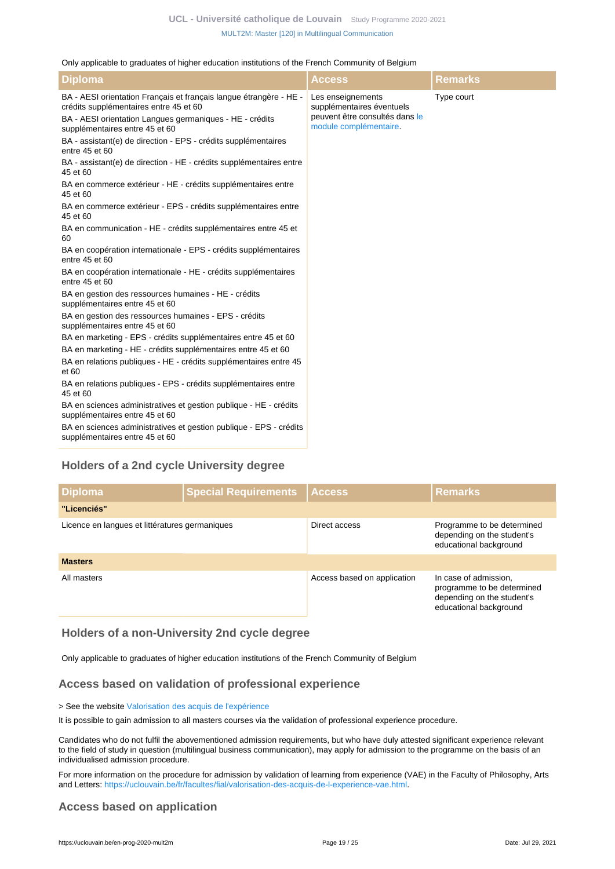#### Only applicable to graduates of higher education institutions of the French Community of Belgium

| <b>Diploma</b>                                                                                               | <b>Access</b>                                            | Remarks    |
|--------------------------------------------------------------------------------------------------------------|----------------------------------------------------------|------------|
| BA - AESI orientation Français et français langue étrangère - HE -<br>crédits supplémentaires entre 45 et 60 | Les enseignements<br>supplémentaires éventuels           | Type court |
| BA - AESI orientation Langues germaniques - HE - crédits<br>supplémentaires entre 45 et 60                   | peuvent être consultés dans le<br>module complémentaire. |            |
| BA - assistant(e) de direction - EPS - crédits supplémentaires<br>entre 45 et 60                             |                                                          |            |
| BA - assistant(e) de direction - HE - crédits supplémentaires entre<br>45 et 60                              |                                                          |            |
| BA en commerce extérieur - HE - crédits supplémentaires entre<br>45 et 60                                    |                                                          |            |
| BA en commerce extérieur - EPS - crédits supplémentaires entre<br>45 et 60                                   |                                                          |            |
| BA en communication - HE - crédits supplémentaires entre 45 et<br>60                                         |                                                          |            |
| BA en coopération internationale - EPS - crédits supplémentaires<br>entre 45 et 60                           |                                                          |            |
| BA en coopération internationale - HE - crédits supplémentaires<br>entre 45 et 60                            |                                                          |            |
| BA en gestion des ressources humaines - HE - crédits<br>supplémentaires entre 45 et 60                       |                                                          |            |
| BA en gestion des ressources humaines - EPS - crédits<br>supplémentaires entre 45 et 60                      |                                                          |            |
| BA en marketing - EPS - crédits supplémentaires entre 45 et 60                                               |                                                          |            |
| BA en marketing - HE - crédits supplémentaires entre 45 et 60                                                |                                                          |            |
| BA en relations publiques - HE - crédits supplémentaires entre 45<br>et 60                                   |                                                          |            |
| BA en relations publiques - EPS - crédits supplémentaires entre<br>45 et 60                                  |                                                          |            |
| BA en sciences administratives et gestion publique - HE - crédits<br>supplémentaires entre 45 et 60          |                                                          |            |
| BA en sciences administratives et gestion publique - EPS - crédits<br>supplémentaires entre 45 et 60         |                                                          |            |

# <span id="page-18-0"></span>**Holders of a 2nd cycle University degree**

| <b>Diploma</b>                                 | Special Requirements Access |                             | <b>Remarks</b>                                                                                              |  |  |  |
|------------------------------------------------|-----------------------------|-----------------------------|-------------------------------------------------------------------------------------------------------------|--|--|--|
| "Licenciés"                                    |                             |                             |                                                                                                             |  |  |  |
| Licence en langues et littératures germaniques |                             | Direct access               | Programme to be determined<br>depending on the student's<br>educational background                          |  |  |  |
| <b>Masters</b>                                 |                             |                             |                                                                                                             |  |  |  |
| All masters                                    |                             | Access based on application | In case of admission,<br>programme to be determined<br>depending on the student's<br>educational background |  |  |  |

### <span id="page-18-1"></span>**Holders of a non-University 2nd cycle degree**

Only applicable to graduates of higher education institutions of the French Community of Belgium

# <span id="page-18-2"></span>**Access based on validation of professional experience**

### > See the website [Valorisation des acquis de l'expérience](https://uclouvain.be/fr/etudier/vae)

It is possible to gain admission to all masters courses via the validation of professional experience procedure.

Candidates who do not fulfil the abovementioned admission requirements, but who have duly attested significant experience relevant to the field of study in question (multilingual business communication), may apply for admission to the programme on the basis of an individualised admission procedure.

For more information on the procedure for admission by validation of learning from experience (VAE) in the Faculty of Philosophy, Arts and Letters:<https://uclouvain.be/fr/facultes/fial/valorisation-des-acquis-de-l-experience-vae.html>.

# <span id="page-18-3"></span>**Access based on application**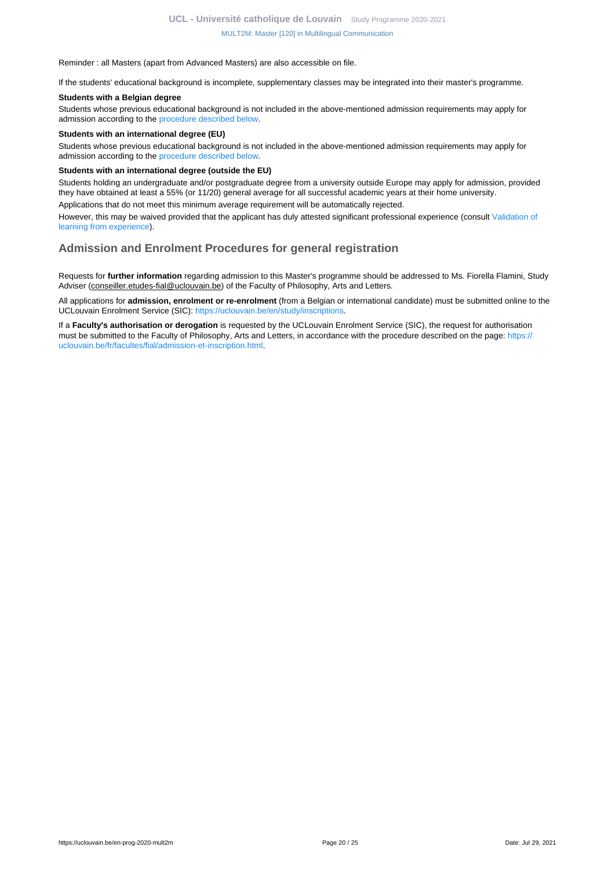#### Reminder : all Masters (apart from Advanced Masters) are also accessible on file.

If the students' educational background is incomplete, supplementary classes may be integrated into their master's programme.

#### **Students with a Belgian degree**

Students whose previous educational background is not included in the above-mentioned admission requirements may apply for admission according to the [procedure described below](https://uclouvain.be/en-prog-mult2m-cond_adm#proceduresAdmission).

#### **Students with an international degree (EU)**

Students whose previous educational background is not included in the above-mentioned admission requirements may apply for admission according to the [procedure described below](https://uclouvain.be/en-prog-mult2m-cond_adm#proceduresAdmission).

#### **Students with an international degree (outside the EU)**

Students holding an undergraduate and/or postgraduate degree from a university outside Europe may apply for admission, provided they have obtained at least a 55% (or 11/20) general average for all successful academic years at their home university.

Applications that do not meet this minimum average requirement will be automatically rejected.

However, this may be waived provided that the applicant has duly attested significant professional experience (consult [Validation of](https://uclouvain.be/prog-2020-mult2m-cond_adm#adultesRepriseEtudes) [learning from experience\)](https://uclouvain.be/prog-2020-mult2m-cond_adm#adultesRepriseEtudes).

# <span id="page-19-0"></span>**Admission and Enrolment Procedures for general registration**

Requests for **further information** regarding admission to this Master's programme should be addressed to Ms. Fiorella Flamini, Study Adviser (conseiller.etudes-fial@uclouvain.be) of the Faculty of Philosophy, Arts and Letters.

All applications for **admission, enrolment or re-enrolment** (from a Belgian or international candidate) must be submitted online to the UCLouvain Enrolment Service (SIC): [https://uclouvain.be/en/study/inscriptions.](https://uclouvain.be/en/study/inscriptions)

If a **Faculty's authorisation or derogation** is requested by the UCLouvain Enrolment Service (SIC), the request for authorisation must be submitted to the Faculty of Philosophy, Arts and Letters, in accordance with the procedure described on the page: [https://](https://uclouvain.be/fr/facultes/fial/admission-et-inscription.html) [uclouvain.be/fr/facultes/fial/admission-et-inscription.html.](https://uclouvain.be/fr/facultes/fial/admission-et-inscription.html)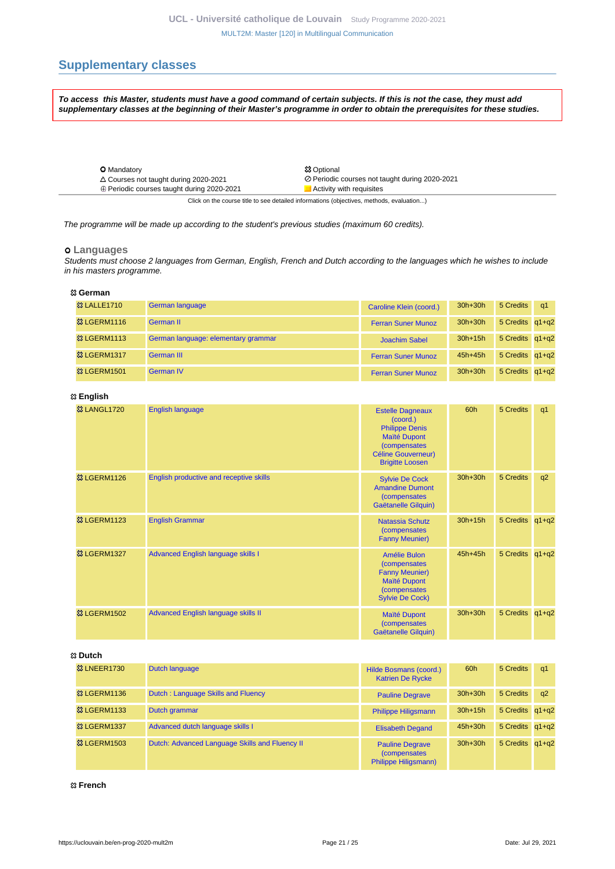# <span id="page-20-0"></span>**Supplementary classes**

**To access this Master, students must have a good command of certain subjects. If this is not the case, they must add supplementary classes at the beginning of their Master's programme in order to obtain the prerequisites for these studies.**

| <b>O</b> Mandatory                                | <b>83 Optional</b>                             |
|---------------------------------------------------|------------------------------------------------|
| $\triangle$ Courses not taught during 2020-2021   | ⊘ Periodic courses not taught during 2020-2021 |
| $\oplus$ Periodic courses taught during 2020-2021 | Activity with requisites                       |
|                                                   |                                                |

Click on the course title to see detailed informations (objectives, methods, evaluation...)

The programme will be made up according to the student's previous studies (maximum 60 credits).

#### **Languages**

Students must choose 2 languages from German, English, French and Dutch according to the languages which he wishes to include in his masters programme.

#### **German**

| <b>&amp; LALLE1710</b>  | German language                     | Caroline Klein (coord.)   | $30h+30h$   | 5 Credits       | $\alpha$ 1 |
|-------------------------|-------------------------------------|---------------------------|-------------|-----------------|------------|
| <sup>33</sup> LGERM1116 | German II                           | <b>Ferran Suner Munoz</b> | $30h+30h$   | 5 Credits q1+q2 |            |
| <b>&amp; LGERM1113</b>  | German language: elementary grammar | Joachim Sabel             | $30h+15h$   | 5 Credits q1+q2 |            |
| <b>83 LGERM1317</b>     | German III                          | <b>Ferran Suner Munoz</b> | $45h+45h$   | 5 Credits q1+q2 |            |
| <b>23 LGERM1501</b>     | German IV                           | <b>Ferran Suner Munoz</b> | $30h + 30h$ | 5 Credits q1+q2 |            |

### **English**

| <b>&amp;3 LANGL1720</b> | <b>English language</b>                 | <b>Estelle Dagneaux</b><br>(coord.)<br><b>Philippe Denis</b><br><b>Maïté Dupont</b><br><i>(compensates)</i><br><b>Céline Gouverneur)</b><br><b>Brigitte Loosen</b> | 60h       | 5 Credits       | q <sub>1</sub> |
|-------------------------|-----------------------------------------|--------------------------------------------------------------------------------------------------------------------------------------------------------------------|-----------|-----------------|----------------|
| <sup>33</sup> LGERM1126 | English productive and receptive skills | <b>Sylvie De Cock</b><br><b>Amandine Dumont</b><br><i>(compensates)</i><br>Gaëtanelle Gilquin)                                                                     | $30h+30h$ | 5 Credits       | q2             |
| <sup>33</sup> LGERM1123 | <b>English Grammar</b>                  | <b>Natassia Schutz</b><br><i>(compensates)</i><br><b>Fanny Meunier)</b>                                                                                            | $30h+15h$ | 5 Credits q1+q2 |                |
| <b>&amp; LGERM1327</b>  | Advanced English language skills I      | Amélie Bulon<br><i>(compensates)</i><br><b>Fanny Meunier)</b><br><b>Maïté Dupont</b><br><i>(compensates)</i><br><b>Sylvie De Cock)</b>                             | 45h+45h   | 5 Credits q1+q2 |                |
| <b>&amp; LGERM1502</b>  | Advanced English language skills II     | Maïté Dupont<br><i>(compensates)</i><br>Gaëtanelle Gilquin)                                                                                                        | $30h+30h$ | 5 Credits q1+q2 |                |

### **Dutch**

| <b>&amp; LNEER1730</b> | Dutch language                                 | Hilde Bosmans (coord.)<br><b>Katrien De Rycke</b>                      | 60h       | 5 Credits       | q1 |
|------------------------|------------------------------------------------|------------------------------------------------------------------------|-----------|-----------------|----|
| <b>&amp; LGERM1136</b> | Dutch: Language Skills and Fluency             | <b>Pauline Degrave</b>                                                 | $30h+30h$ | 5 Credits       | a2 |
| <b>&amp; LGERM1133</b> | Dutch grammar                                  | <b>Philippe Hiligsmann</b>                                             | $30h+15h$ | 5 Credits q1+q2 |    |
| <b>&amp; LGERM1337</b> | Advanced dutch language skills I               | <b>Elisabeth Degand</b>                                                | $45h+30h$ | 5 Credits q1+q2 |    |
| <b>&amp; LGERM1503</b> | Dutch: Advanced Language Skills and Fluency II | <b>Pauline Degrave</b><br><i>(compensates)</i><br>Philippe Hiligsmann) | $30h+30h$ | 5 Credits q1+q2 |    |

#### **French**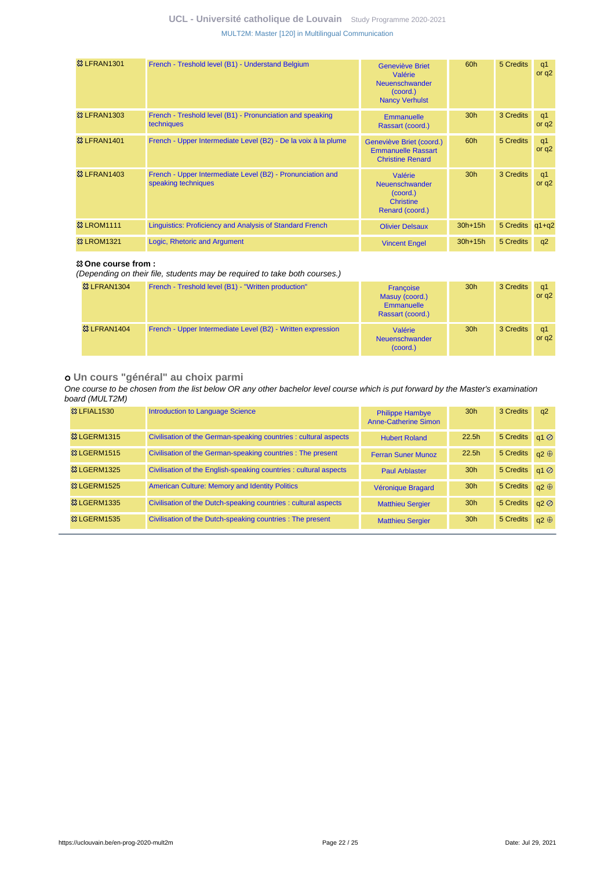| <b>&amp;3 LFRAN1301</b> | French - Treshold level (B1) - Understand Belgium                                 | Geneviève Briet<br>Valérie<br>Neuenschwander<br>(coord.)<br><b>Nancy Verhulst</b> | 60h             | 5 Credits       | q1<br>or $q2$             |
|-------------------------|-----------------------------------------------------------------------------------|-----------------------------------------------------------------------------------|-----------------|-----------------|---------------------------|
| <b>&amp;3 LFRAN1303</b> | French - Treshold level (B1) - Pronunciation and speaking<br>techniques           | <b>Emmanuelle</b><br>Rassart (coord.)                                             | 30 <sub>h</sub> | 3 Credits       | q1<br>or $q2$             |
| <b>&amp;3 LFRAN1401</b> | French - Upper Intermediate Level (B2) - De la voix à la plume                    | Geneviève Briet (coord.)<br><b>Emmanuelle Rassart</b><br><b>Christine Renard</b>  | 60h             | 5 Credits       | q <sub>1</sub><br>or $q2$ |
| <b>&amp; LFRAN1403</b>  | French - Upper Intermediate Level (B2) - Pronunciation and<br>speaking techniques | Valérie<br>Neuenschwander<br>(coord.)<br><b>Christine</b><br>Renard (coord.)      | 30 <sub>h</sub> | 3 Credits       | q1<br>or $q2$             |
| <b>&amp;3 LROM1111</b>  | Linguistics: Proficiency and Analysis of Standard French                          | <b>Olivier Delsaux</b>                                                            | $30h+15h$       | 5 Credits q1+q2 |                           |
| <b>&amp; LROM1321</b>   | Logic, Rhetoric and Argument                                                      | <b>Vincent Engel</b>                                                              | $30h+15h$       | 5 Credits       | q2                        |

### **One course from :**

(Depending on their file, students may be required to take both courses.)

| <b>&amp; LFRAN1304</b>  | French - Treshold level (B1) - "Written production"         | Francoise<br>Masuy (coord.)<br><b>Emmanuelle</b><br>Rassart (coord.) | 30 <sub>h</sub> | 3 Credits | q1<br>or $q2$ |
|-------------------------|-------------------------------------------------------------|----------------------------------------------------------------------|-----------------|-----------|---------------|
| <sup>33</sup> LFRAN1404 | French - Upper Intermediate Level (B2) - Written expression | Valérie<br>Neuenschwander<br>(coord.)                                | 30 <sub>h</sub> | 3 Credits | q1<br>or $q2$ |

### **Un cours "général" au choix parmi**

One course to be chosen from the list below OR any other bachelor level course which is put forward by the Master's examination board (MULT2M)

| <b>&amp; LFIAL1530</b>         | Introduction to Language Science                                  | <b>Philippe Hambye</b><br>Anne-Catherine Simon | 30 <sub>h</sub> | 3 Credits             | q2          |
|--------------------------------|-------------------------------------------------------------------|------------------------------------------------|-----------------|-----------------------|-------------|
| <b>&amp; LGERM1315</b>         | Civilisation of the German-speaking countries : cultural aspects  | <b>Hubert Roland</b>                           | 22.5h           | 5 Credits q1 Ø        |             |
| <b>&amp; LGERM1515</b>         | Civilisation of the German-speaking countries : The present       | <b>Ferran Suner Munoz</b>                      | 22.5h           | 5 Credits $q2 \oplus$ |             |
| <b><sup>83</sup> LGERM1325</b> | Civilisation of the English-speaking countries : cultural aspects | <b>Paul Arblaster</b>                          | 30 <sub>h</sub> | 5 Credits             | q1          |
| <b>&amp; LGERM1525</b>         | <b>American Culture: Memory and Identity Politics</b>             | Véronique Bragard                              | 30 <sub>h</sub> | 5 Credits             | $a2 \oplus$ |
| <b>&amp; LGERM1335</b>         | Civilisation of the Dutch-speaking countries: cultural aspects    | <b>Matthieu Sergier</b>                        | 30 <sub>h</sub> | 5 Credits             | a2          |
| <b><sup>83</sup> LGERM1535</b> | Civilisation of the Dutch-speaking countries : The present        | <b>Matthieu Sergier</b>                        | 30 <sub>h</sub> | 5 Credits             | $a2 \oplus$ |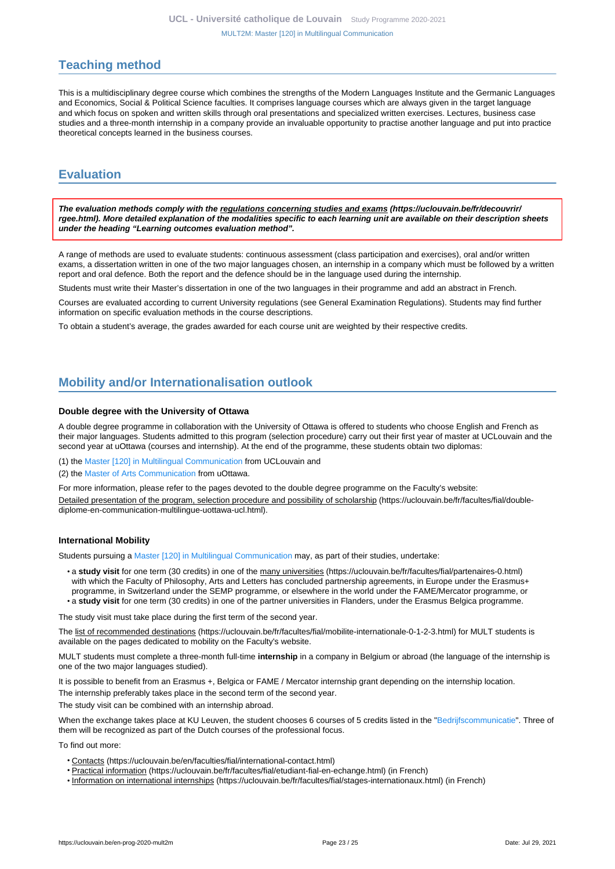# <span id="page-22-0"></span>**Teaching method**

This is a multidisciplinary degree course which combines the strengths of the Modern Languages Institute and the Germanic Languages and Economics, Social & Political Science faculties. It comprises language courses which are always given in the target language and which focus on spoken and written skills through oral presentations and specialized written exercises. Lectures, business case studies and a three-month internship in a company provide an invaluable opportunity to practise another language and put into practice theoretical concepts learned in the business courses.

# <span id="page-22-1"></span>**Evaluation**

**The evaluation methods comply with the regulations concerning studies and exams (https://uclouvain.be/fr/decouvrir/ rgee.html). More detailed explanation of the modalities specific to each learning unit are available on their description sheets under the heading "Learning outcomes evaluation method".**

A range of methods are used to evaluate students: continuous assessment (class participation and exercises), oral and/or written exams, a dissertation written in one of the two major languages chosen, an internship in a company which must be followed by a written report and oral defence. Both the report and the defence should be in the language used during the internship.

Students must write their Master's dissertation in one of the two languages in their programme and add an abstract in French.

Courses are evaluated according to current University regulations (see General Examination Regulations). Students may find further information on specific evaluation methods in the course descriptions.

To obtain a student's average, the grades awarded for each course unit are weighted by their respective credits.

# <span id="page-22-2"></span>**Mobility and/or Internationalisation outlook**

### **Double degree with the University of Ottawa**

A double degree programme in collaboration with the University of Ottawa is offered to students who choose English and French as their major languages. Students admitted to this program (selection procedure) carry out their first year of master at UCLouvain and the second year at uOttawa (courses and internship). At the end of the programme, these students obtain two diplomas:

(1) the [Master \[120\] in Multilingual Communication](https://uclouvain.be/en-prog-2020-mult2m) from UCLouvain and

(2) the [Master of Arts Communication](https://catalogue.uottawa.ca/en/graduate/master-arts-communication/) from uOttawa.

For more information, please refer to the pages devoted to the double degree programme on the Faculty's website: Detailed presentation of the program, selection procedure and possibility of scholarship (https://uclouvain.be/fr/facultes/fial/doublediplome-en-communication-multilingue-uottawa-ucl.html).

#### **International Mobility**

Students pursuing a [Master \[120\] in Multilingual Communication](https://uclouvain.be/en-prog-2020-mult2m) may, as part of their studies, undertake:

• a **study visit** for one term (30 credits) in one of the many universities (https://uclouvain.be/fr/facultes/fial/partenaires-0.html) with which the Faculty of Philosophy, Arts and Letters has concluded partnership agreements, in Europe under the Erasmus+ programme, in Switzerland under the SEMP programme, or elsewhere in the world under the FAME/Mercator programme, or • a **study visit** for one term (30 credits) in one of the partner universities in Flanders, under the Erasmus Belgica programme.

The study visit must take place during the first term of the second year.

The list of recommended destinations (https://uclouvain.be/fr/facultes/fial/mobilite-internationale-0-1-2-3.html) for MULT students is available on the pages dedicated to mobility on the Faculty's website.

MULT students must complete a three-month full-time **internship** in a company in Belgium or abroad (the language of the internship is one of the two major languages studied).

It is possible to benefit from an Erasmus +, Belgica or FAME / Mercator internship grant depending on the internship location.

The internship preferably takes place in the second term of the second year.

The study visit can be combined with an internship abroad.

When the exchange takes place at KU Leuven, the student chooses 6 courses of 5 credits listed in the ["Bedrijfscommunicatie](https://uclouvain.be/en-prog-mult2m-lmult829o)". Three of them will be recognized as part of the Dutch courses of the professional focus.

To find out more:

- Contacts (https://uclouvain.be/en/faculties/fial/international-contact.html)
- Practical information (https://uclouvain.be/fr/facultes/fial/etudiant-fial-en-echange.html) (in French)
- Information on international internships (https://uclouvain.be/fr/facultes/fial/stages-internationaux.html) (in French)